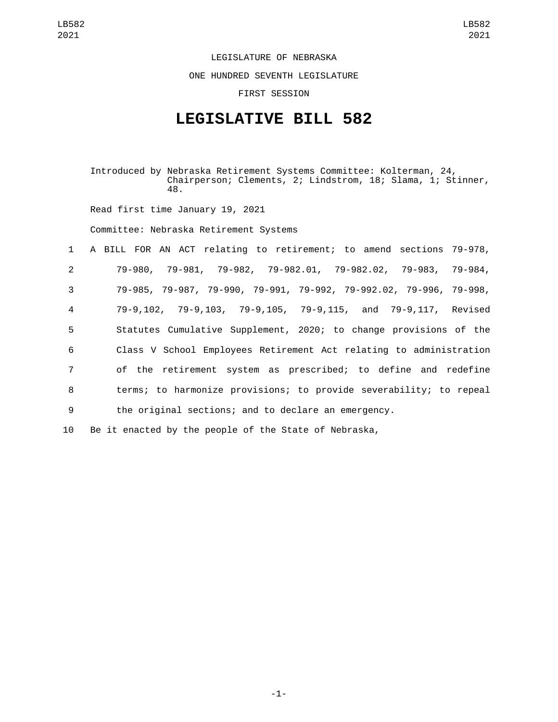LEGISLATURE OF NEBRASKA

ONE HUNDRED SEVENTH LEGISLATURE

FIRST SESSION

## **LEGISLATIVE BILL 582**

Introduced by Nebraska Retirement Systems Committee: Kolterman, 24, Chairperson; Clements, 2; Lindstrom, 18; Slama, 1; Stinner, 48.

Read first time January 19, 2021

Committee: Nebraska Retirement Systems

|                 | 1 A BILL FOR AN ACT relating to retirement; to amend sections 79-978, |  |
|-----------------|-----------------------------------------------------------------------|--|
| $\overline{2}$  | 79-980, 79-981, 79-982, 79-982.01, 79-982.02, 79-983, 79-984,         |  |
| 3               | 79-985, 79-987, 79-990, 79-991, 79-992, 79-992.02, 79-996, 79-998,    |  |
| $\overline{4}$  | 79-9,102, 79-9,103, 79-9,105, 79-9,115, and 79-9,117, Revised         |  |
| $5\overline{)}$ | Statutes Cumulative Supplement, 2020; to change provisions of the     |  |
| 6               | Class V School Employees Retirement Act relating to administration    |  |
| $7\overline{ }$ | of the retirement system as prescribed; to define and redefine        |  |
| 8               | terms; to harmonize provisions; to provide severability; to repeal    |  |
| 9               | the original sections; and to declare an emergency.                   |  |
|                 |                                                                       |  |

10 Be it enacted by the people of the State of Nebraska,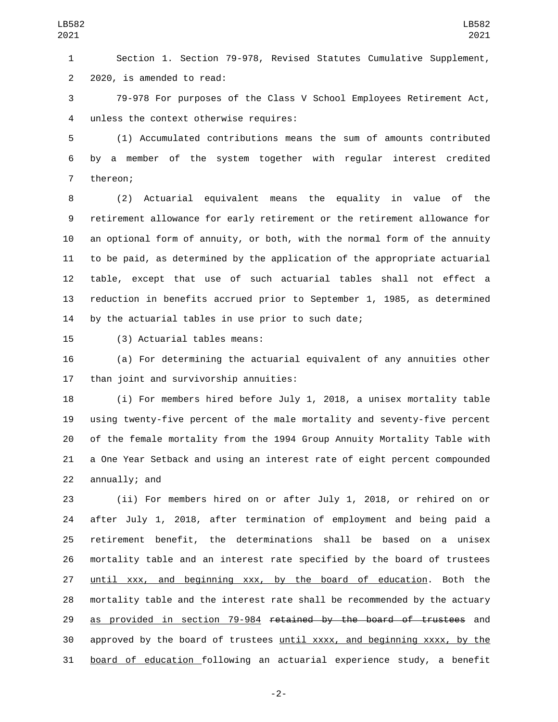Section 1. Section 79-978, Revised Statutes Cumulative Supplement, 2 2020, is amended to read:

 79-978 For purposes of the Class V School Employees Retirement Act, unless the context otherwise requires:4

 (1) Accumulated contributions means the sum of amounts contributed by a member of the system together with regular interest credited 7 thereon;

 (2) Actuarial equivalent means the equality in value of the retirement allowance for early retirement or the retirement allowance for an optional form of annuity, or both, with the normal form of the annuity to be paid, as determined by the application of the appropriate actuarial table, except that use of such actuarial tables shall not effect a reduction in benefits accrued prior to September 1, 1985, as determined by the actuarial tables in use prior to such date;

15 (3) Actuarial tables means:

 (a) For determining the actuarial equivalent of any annuities other 17 than joint and survivorship annuities:

 (i) For members hired before July 1, 2018, a unisex mortality table using twenty-five percent of the male mortality and seventy-five percent of the female mortality from the 1994 Group Annuity Mortality Table with a One Year Setback and using an interest rate of eight percent compounded 22 annually; and

 (ii) For members hired on or after July 1, 2018, or rehired on or after July 1, 2018, after termination of employment and being paid a retirement benefit, the determinations shall be based on a unisex mortality table and an interest rate specified by the board of trustees until xxx, and beginning xxx, by the board of education. Both the mortality table and the interest rate shall be recommended by the actuary 29 as provided in section 79-984 retained by the board of trustees and approved by the board of trustees until xxxx, and beginning xxxx, by the board of education following an actuarial experience study, a benefit

-2-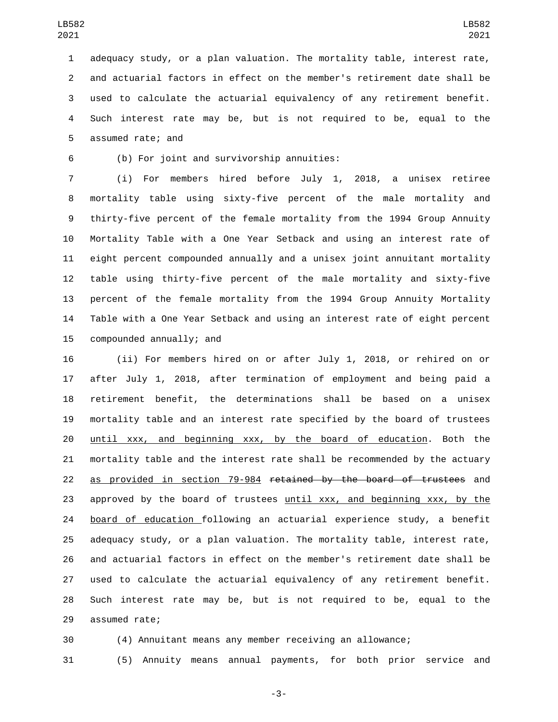adequacy study, or a plan valuation. The mortality table, interest rate, and actuarial factors in effect on the member's retirement date shall be used to calculate the actuarial equivalency of any retirement benefit. Such interest rate may be, but is not required to be, equal to the 5 assumed rate; and

(b) For joint and survivorship annuities:6

 (i) For members hired before July 1, 2018, a unisex retiree mortality table using sixty-five percent of the male mortality and thirty-five percent of the female mortality from the 1994 Group Annuity Mortality Table with a One Year Setback and using an interest rate of eight percent compounded annually and a unisex joint annuitant mortality table using thirty-five percent of the male mortality and sixty-five percent of the female mortality from the 1994 Group Annuity Mortality Table with a One Year Setback and using an interest rate of eight percent 15 compounded annually; and

 (ii) For members hired on or after July 1, 2018, or rehired on or after July 1, 2018, after termination of employment and being paid a retirement benefit, the determinations shall be based on a unisex mortality table and an interest rate specified by the board of trustees until xxx, and beginning xxx, by the board of education. Both the mortality table and the interest rate shall be recommended by the actuary 22 as provided in section 79-984 retained by the board of trustees and approved by the board of trustees until xxx, and beginning xxx, by the board of education following an actuarial experience study, a benefit adequacy study, or a plan valuation. The mortality table, interest rate, and actuarial factors in effect on the member's retirement date shall be used to calculate the actuarial equivalency of any retirement benefit. Such interest rate may be, but is not required to be, equal to the 29 assumed rate;

(4) Annuitant means any member receiving an allowance;

(5) Annuity means annual payments, for both prior service and

-3-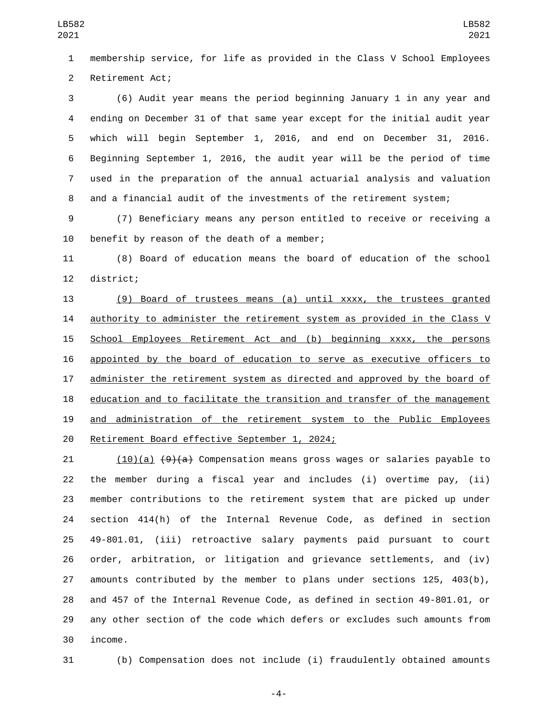membership service, for life as provided in the Class V School Employees 2 Retirement Act;

 (6) Audit year means the period beginning January 1 in any year and ending on December 31 of that same year except for the initial audit year which will begin September 1, 2016, and end on December 31, 2016. Beginning September 1, 2016, the audit year will be the period of time used in the preparation of the annual actuarial analysis and valuation and a financial audit of the investments of the retirement system;

 (7) Beneficiary means any person entitled to receive or receiving a 10 benefit by reason of the death of a member;

 (8) Board of education means the board of education of the school 12 district;

 (9) Board of trustees means (a) until xxxx, the trustees granted 14 authority to administer the retirement system as provided in the Class V 15 School Employees Retirement Act and (b) beginning xxxx, the persons appointed by the board of education to serve as executive officers to administer the retirement system as directed and approved by the board of 18 education and to facilitate the transition and transfer of the management and administration of the retirement system to the Public Employees 20 Retirement Board effective September 1, 2024;

21 (10)(a)  $\left(9\right)$ (a) Compensation means gross wages or salaries payable to the member during a fiscal year and includes (i) overtime pay, (ii) member contributions to the retirement system that are picked up under section 414(h) of the Internal Revenue Code, as defined in section 49-801.01, (iii) retroactive salary payments paid pursuant to court order, arbitration, or litigation and grievance settlements, and (iv) amounts contributed by the member to plans under sections 125, 403(b), and 457 of the Internal Revenue Code, as defined in section 49-801.01, or any other section of the code which defers or excludes such amounts from 30 income.

(b) Compensation does not include (i) fraudulently obtained amounts

-4-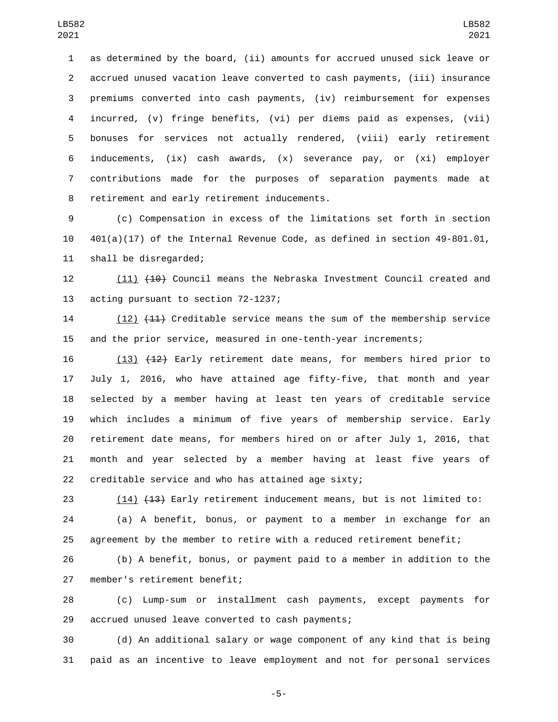as determined by the board, (ii) amounts for accrued unused sick leave or accrued unused vacation leave converted to cash payments, (iii) insurance premiums converted into cash payments, (iv) reimbursement for expenses incurred, (v) fringe benefits, (vi) per diems paid as expenses, (vii) bonuses for services not actually rendered, (viii) early retirement inducements, (ix) cash awards, (x) severance pay, or (xi) employer contributions made for the purposes of separation payments made at 8 retirement and early retirement inducements.

 (c) Compensation in excess of the limitations set forth in section 401(a)(17) of the Internal Revenue Code, as defined in section 49-801.01, 11 shall be disregarded;

12 (11) (10) Council means the Nebraska Investment Council created and 13 acting pursuant to section 72-1237;

 (12) (11) Creditable service means the sum of the membership service and the prior service, measured in one-tenth-year increments;

16 (13) (12) Early retirement date means, for members hired prior to July 1, 2016, who have attained age fifty-five, that month and year selected by a member having at least ten years of creditable service which includes a minimum of five years of membership service. Early retirement date means, for members hired on or after July 1, 2016, that month and year selected by a member having at least five years of creditable service and who has attained age sixty;

23 (14) (13) Early retirement inducement means, but is not limited to: (a) A benefit, bonus, or payment to a member in exchange for an agreement by the member to retire with a reduced retirement benefit;

 (b) A benefit, bonus, or payment paid to a member in addition to the 27 member's retirement benefit;

 (c) Lump-sum or installment cash payments, except payments for 29 accrued unused leave converted to cash payments;

 (d) An additional salary or wage component of any kind that is being paid as an incentive to leave employment and not for personal services

-5-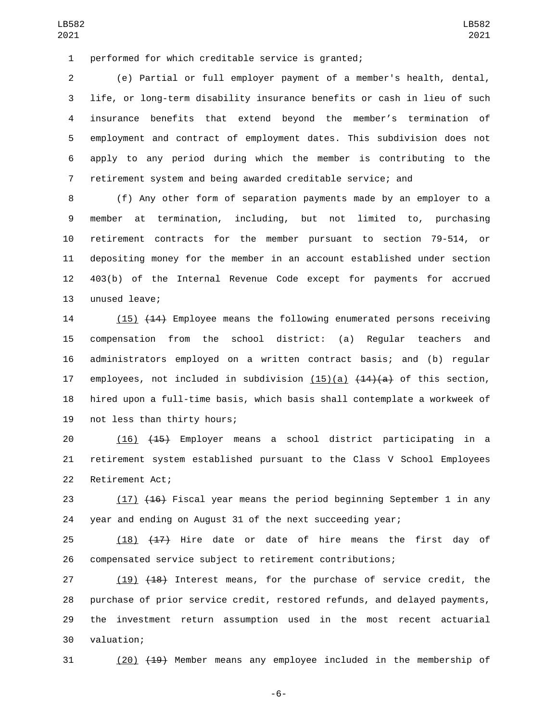performed for which creditable service is granted;1

 (e) Partial or full employer payment of a member's health, dental, life, or long-term disability insurance benefits or cash in lieu of such insurance benefits that extend beyond the member's termination of employment and contract of employment dates. This subdivision does not apply to any period during which the member is contributing to the retirement system and being awarded creditable service; and

 (f) Any other form of separation payments made by an employer to a member at termination, including, but not limited to, purchasing retirement contracts for the member pursuant to section 79-514, or depositing money for the member in an account established under section 403(b) of the Internal Revenue Code except for payments for accrued 13 unused leave;

14 (15) (14) Employee means the following enumerated persons receiving compensation from the school district: (a) Regular teachers and administrators employed on a written contract basis; and (b) regular 17 employees, not included in subdivision  $(15)(a)$   $(14)(a)$  of this section, hired upon a full-time basis, which basis shall contemplate a workweek of 19 not less than thirty hours;

 (16) (15) Employer means a school district participating in a retirement system established pursuant to the Class V School Employees 22 Retirement Act;

23 (17) (16) Fiscal year means the period beginning September 1 in any year and ending on August 31 of the next succeeding year;

 (18) (17) Hire date or date of hire means the first day of compensated service subject to retirement contributions;

27 (19) (18) Interest means, for the purchase of service credit, the purchase of prior service credit, restored refunds, and delayed payments, the investment return assumption used in the most recent actuarial valuation;30

(20) (19) Member means any employee included in the membership of

-6-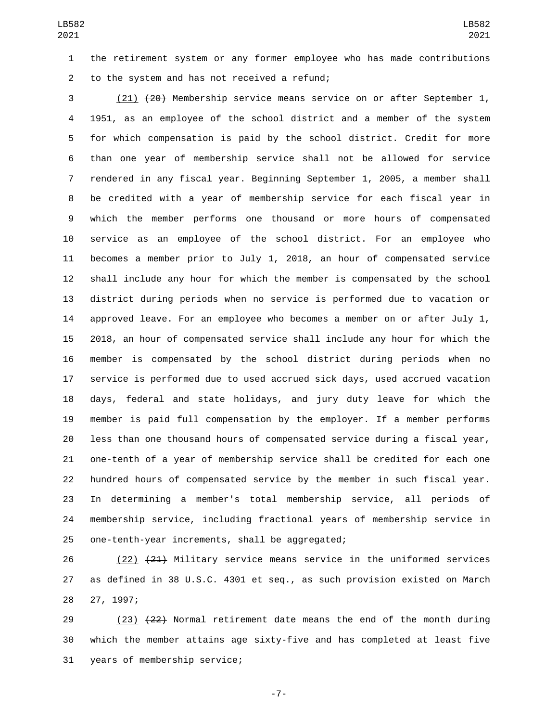the retirement system or any former employee who has made contributions 2 to the system and has not received a refund;

 (21) (20) Membership service means service on or after September 1, 1951, as an employee of the school district and a member of the system for which compensation is paid by the school district. Credit for more than one year of membership service shall not be allowed for service rendered in any fiscal year. Beginning September 1, 2005, a member shall be credited with a year of membership service for each fiscal year in which the member performs one thousand or more hours of compensated service as an employee of the school district. For an employee who becomes a member prior to July 1, 2018, an hour of compensated service shall include any hour for which the member is compensated by the school district during periods when no service is performed due to vacation or approved leave. For an employee who becomes a member on or after July 1, 2018, an hour of compensated service shall include any hour for which the member is compensated by the school district during periods when no service is performed due to used accrued sick days, used accrued vacation days, federal and state holidays, and jury duty leave for which the member is paid full compensation by the employer. If a member performs less than one thousand hours of compensated service during a fiscal year, one-tenth of a year of membership service shall be credited for each one hundred hours of compensated service by the member in such fiscal year. In determining a member's total membership service, all periods of membership service, including fractional years of membership service in 25 one-tenth-year increments, shall be aggregated;

26 (22) (21) Military service means service in the uniformed services as defined in 38 U.S.C. 4301 et seq., as such provision existed on March 28 27, 1997;

29 (23) (22) Normal retirement date means the end of the month during which the member attains age sixty-five and has completed at least five 31 years of membership service;

-7-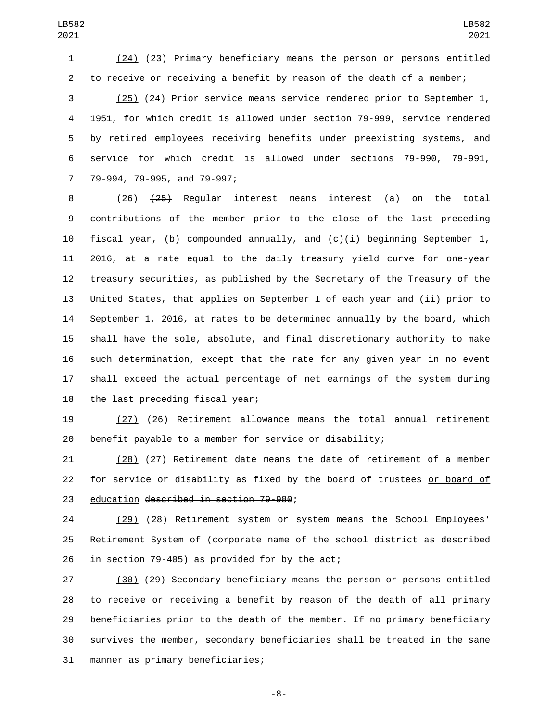(24) (23) Primary beneficiary means the person or persons entitled to receive or receiving a benefit by reason of the death of a member;

 (25) (24) Prior service means service rendered prior to September 1, 1951, for which credit is allowed under section 79-999, service rendered by retired employees receiving benefits under preexisting systems, and service for which credit is allowed under sections 79-990, 79-991, 7 79-994, 79-995, and 79-997;

 (26) (25) Regular interest means interest (a) on the total contributions of the member prior to the close of the last preceding 10 fiscal year, (b) compounded annually, and  $(c)(i)$  beginning September 1, 2016, at a rate equal to the daily treasury yield curve for one-year treasury securities, as published by the Secretary of the Treasury of the United States, that applies on September 1 of each year and (ii) prior to September 1, 2016, at rates to be determined annually by the board, which shall have the sole, absolute, and final discretionary authority to make such determination, except that the rate for any given year in no event shall exceed the actual percentage of net earnings of the system during 18 the last preceding fiscal year;

 (27) (26) Retirement allowance means the total annual retirement benefit payable to a member for service or disability;

 (28) (27) Retirement date means the date of retirement of a member for service or disability as fixed by the board of trustees or board of 23 education described in section 79-980;

 (29) (28) Retirement system or system means the School Employees' Retirement System of (corporate name of the school district as described 26 in section 79-405) as provided for by the act;

27 (30) (29) Secondary beneficiary means the person or persons entitled to receive or receiving a benefit by reason of the death of all primary beneficiaries prior to the death of the member. If no primary beneficiary survives the member, secondary beneficiaries shall be treated in the same 31 manner as primary beneficiaries;

-8-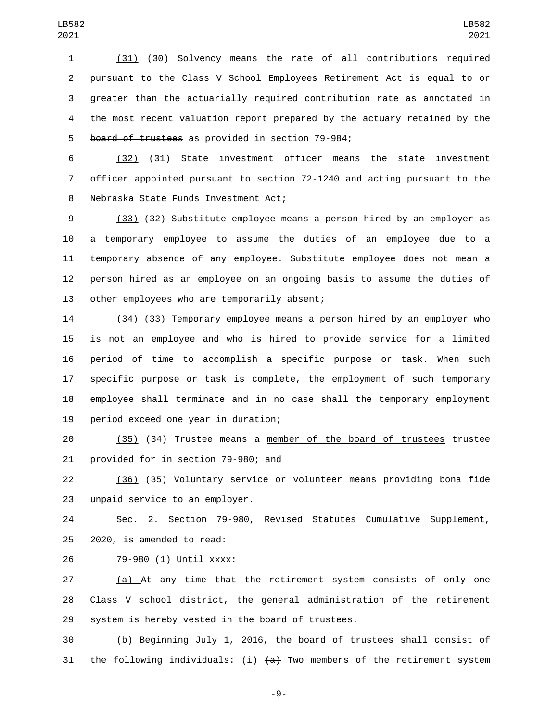(31) (30) Solvency means the rate of all contributions required pursuant to the Class V School Employees Retirement Act is equal to or greater than the actuarially required contribution rate as annotated in 4 the most recent valuation report prepared by the actuary retained by the 5 board of trustees as provided in section 79-984;

 (32) (31) State investment officer means the state investment officer appointed pursuant to section 72-1240 and acting pursuant to the 8 Nebraska State Funds Investment Act;

 (33) (32) Substitute employee means a person hired by an employer as a temporary employee to assume the duties of an employee due to a temporary absence of any employee. Substitute employee does not mean a person hired as an employee on an ongoing basis to assume the duties of 13 other employees who are temporarily absent;

 (34) (33) Temporary employee means a person hired by an employer who is not an employee and who is hired to provide service for a limited period of time to accomplish a specific purpose or task. When such specific purpose or task is complete, the employment of such temporary employee shall terminate and in no case shall the temporary employment 19 period exceed one year in duration;

20 (35) (34) Trustee means a member of the board of trustees trustee 21 provided for in section 79-980; and

 (36) (35) Voluntary service or volunteer means providing bona fide 23 unpaid service to an employer.

 Sec. 2. Section 79-980, Revised Statutes Cumulative Supplement,  $2020$ , is amended to read:

79-980 (1) Until xxxx:26

 (a) At any time that the retirement system consists of only one Class V school district, the general administration of the retirement 29 system is hereby vested in the board of trustees.

 (b) Beginning July 1, 2016, the board of trustees shall consist of 31 the following individuals:  $(i)$   $(a)$  Two members of the retirement system

-9-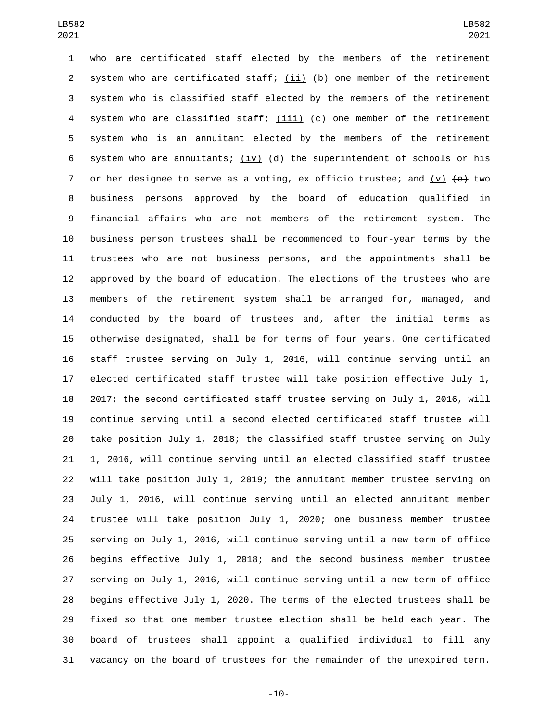who are certificated staff elected by the members of the retirement 2 system who are certificated staff; (ii)  $\{b\}$  one member of the retirement system who is classified staff elected by the members of the retirement 4 system who are classified staff;  $(iii)$   $(c)$  one member of the retirement system who is an annuitant elected by the members of the retirement 6 system who are annuitants;  $(iv)$   $(d)$  the superintendent of schools or his 7 or her designee to serve as a voting, ex officio trustee; and  $(v)$   $\leftrightarrow$  two business persons approved by the board of education qualified in financial affairs who are not members of the retirement system. The business person trustees shall be recommended to four-year terms by the trustees who are not business persons, and the appointments shall be approved by the board of education. The elections of the trustees who are members of the retirement system shall be arranged for, managed, and conducted by the board of trustees and, after the initial terms as otherwise designated, shall be for terms of four years. One certificated staff trustee serving on July 1, 2016, will continue serving until an elected certificated staff trustee will take position effective July 1, 2017; the second certificated staff trustee serving on July 1, 2016, will continue serving until a second elected certificated staff trustee will take position July 1, 2018; the classified staff trustee serving on July 1, 2016, will continue serving until an elected classified staff trustee will take position July 1, 2019; the annuitant member trustee serving on July 1, 2016, will continue serving until an elected annuitant member trustee will take position July 1, 2020; one business member trustee serving on July 1, 2016, will continue serving until a new term of office begins effective July 1, 2018; and the second business member trustee serving on July 1, 2016, will continue serving until a new term of office begins effective July 1, 2020. The terms of the elected trustees shall be fixed so that one member trustee election shall be held each year. The board of trustees shall appoint a qualified individual to fill any vacancy on the board of trustees for the remainder of the unexpired term.

-10-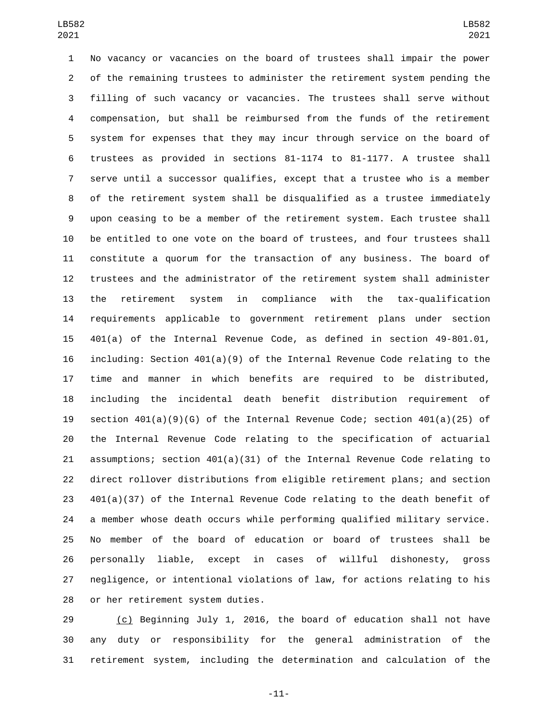No vacancy or vacancies on the board of trustees shall impair the power of the remaining trustees to administer the retirement system pending the filling of such vacancy or vacancies. The trustees shall serve without compensation, but shall be reimbursed from the funds of the retirement system for expenses that they may incur through service on the board of trustees as provided in sections 81-1174 to 81-1177. A trustee shall serve until a successor qualifies, except that a trustee who is a member of the retirement system shall be disqualified as a trustee immediately upon ceasing to be a member of the retirement system. Each trustee shall be entitled to one vote on the board of trustees, and four trustees shall constitute a quorum for the transaction of any business. The board of trustees and the administrator of the retirement system shall administer the retirement system in compliance with the tax-qualification requirements applicable to government retirement plans under section 401(a) of the Internal Revenue Code, as defined in section 49-801.01, including: Section 401(a)(9) of the Internal Revenue Code relating to the time and manner in which benefits are required to be distributed, including the incidental death benefit distribution requirement of section 401(a)(9)(G) of the Internal Revenue Code; section 401(a)(25) of the Internal Revenue Code relating to the specification of actuarial assumptions; section 401(a)(31) of the Internal Revenue Code relating to direct rollover distributions from eligible retirement plans; and section 401(a)(37) of the Internal Revenue Code relating to the death benefit of a member whose death occurs while performing qualified military service. No member of the board of education or board of trustees shall be personally liable, except in cases of willful dishonesty, gross negligence, or intentional violations of law, for actions relating to his 28 or her retirement system duties.

 (c) Beginning July 1, 2016, the board of education shall not have any duty or responsibility for the general administration of the retirement system, including the determination and calculation of the

-11-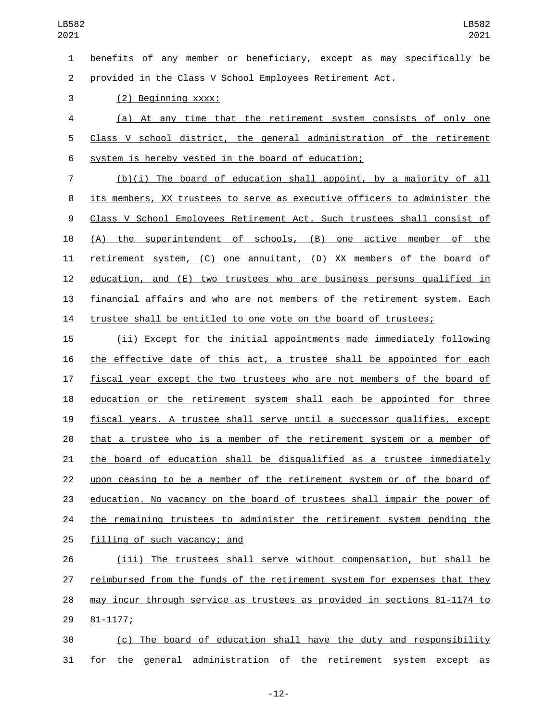benefits of any member or beneficiary, except as may specifically be provided in the Class V School Employees Retirement Act.

3 (2) Beginning xxxx:

 (a) At any time that the retirement system consists of only one Class V school district, the general administration of the retirement 6 system is hereby vested in the board of education;

 (b)(i) The board of education shall appoint, by a majority of all its members, XX trustees to serve as executive officers to administer the Class V School Employees Retirement Act. Such trustees shall consist of (A) the superintendent of schools, (B) one active member of the retirement system, (C) one annuitant, (D) XX members of the board of education, and (E) two trustees who are business persons qualified in financial affairs and who are not members of the retirement system. Each trustee shall be entitled to one vote on the board of trustees;

 (ii) Except for the initial appointments made immediately following the effective date of this act, a trustee shall be appointed for each fiscal year except the two trustees who are not members of the board of education or the retirement system shall each be appointed for three fiscal years. A trustee shall serve until a successor qualifies, except that a trustee who is a member of the retirement system or a member of the board of education shall be disqualified as a trustee immediately upon ceasing to be a member of the retirement system or of the board of education. No vacancy on the board of trustees shall impair the power of 24 the remaining trustees to administer the retirement system pending the 25 filling of such vacancy; and

 (iii) The trustees shall serve without compensation, but shall be reimbursed from the funds of the retirement system for expenses that they may incur through service as trustees as provided in sections 81-1174 to 81-1177;29

 (c) The board of education shall have the duty and responsibility for the general administration of the retirement system except as

-12-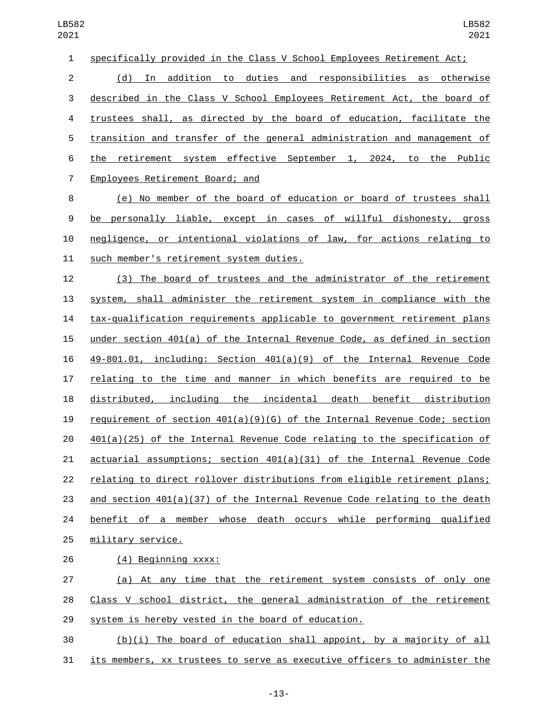| $\mathbf{1}$   | specifically provided in the Class V School Employees Retirement Act;       |
|----------------|-----------------------------------------------------------------------------|
| $\overline{2}$ | (d) In addition to duties and responsibilities as otherwise                 |
| 3              | described in the Class V School Employees Retirement Act, the board of      |
| 4              | trustees shall, as directed by the board of education, facilitate the       |
| 5              | transition and transfer of the general administration and management of     |
| 6              | retirement system effective September 1, 2024, to the Public<br>the         |
| $\overline{7}$ | Employees Retirement Board; and                                             |
| 8              | (e) No member of the board of education or board of trustees shall          |
| 9              | be personally liable, except in cases of willful dishonesty, gross          |
| 10             | negligence, or intentional violations of law, for actions relating to       |
| 11             | such member's retirement system duties.                                     |
| 12             | (3) The board of trustees and the administrator of the retirement           |
| 13             | system, shall administer the retirement system in compliance with the       |
| 14             | tax-qualification requirements applicable to government retirement plans    |
| 15             | under section $401(a)$ of the Internal Revenue Code, as defined in section  |
| 16             | 49-801.01, including: Section 401(a)(9) of the Internal Revenue Code        |
| 17             | relating to the time and manner in which benefits are required to be        |
| 18             | distributed, including<br>the incidental death benefit distribution         |
| 19             | requirement of section $401(a)(9)(6)$ of the Internal Revenue Code; section |
| 20             | $401(a)(25)$ of the Internal Revenue Code relating to the specification of  |
| 21             | actuarial assumptions; section 401(a)(31) of the Internal Revenue Code      |
| 22             | relating to direct rollover distributions from eligible retirement plans;   |
| 23             | and section $401(a)(37)$ of the Internal Revenue Code relating to the death |
| 24             | benefit of a member whose death occurs while performing qualified           |
| 25             | military service.                                                           |
| 26             | (4) Beginning xxxx:                                                         |
|                |                                                                             |

 (a) At any time that the retirement system consists of only one 28 Class V school district, the general administration of the retirement system is hereby vested in the board of education.

 (b)(i) The board of education shall appoint, by a majority of all 31 its members, xx trustees to serve as executive officers to administer the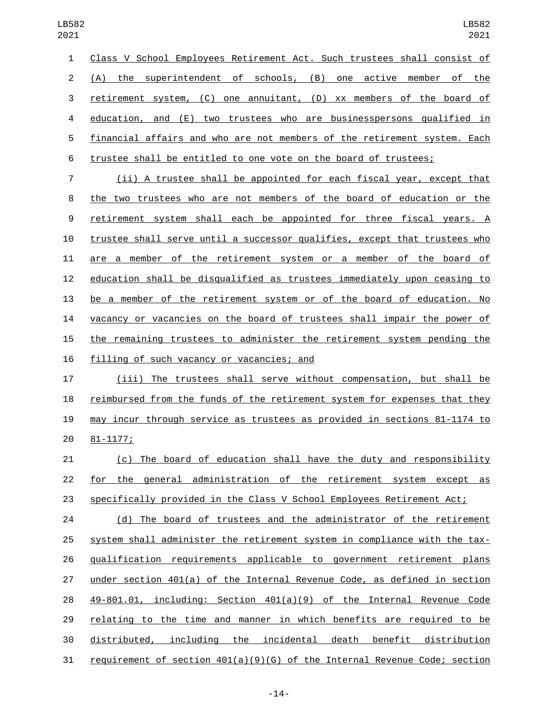Class V School Employees Retirement Act. Such trustees shall consist of (A) the superintendent of schools, (B) one active member of the retirement system, (C) one annuitant, (D) xx members of the board of education, and (E) two trustees who are businesspersons qualified in financial affairs and who are not members of the retirement system. Each trustee shall be entitled to one vote on the board of trustees;

 (ii) A trustee shall be appointed for each fiscal year, except that the two trustees who are not members of the board of education or the retirement system shall each be appointed for three fiscal years. A trustee shall serve until a successor qualifies, except that trustees who are a member of the retirement system or a member of the board of education shall be disqualified as trustees immediately upon ceasing to be a member of the retirement system or of the board of education. No vacancy or vacancies on the board of trustees shall impair the power of the remaining trustees to administer the retirement system pending the 16 filling of such vacancy or vacancies; and

 (iii) The trustees shall serve without compensation, but shall be reimbursed from the funds of the retirement system for expenses that they may incur through service as trustees as provided in sections 81-1174 to 81-1177;20

 (c) The board of education shall have the duty and responsibility for the general administration of the retirement system except as specifically provided in the Class V School Employees Retirement Act;

24 (d) The board of trustees and the administrator of the retirement system shall administer the retirement system in compliance with the tax- qualification requirements applicable to government retirement plans under section 401(a) of the Internal Revenue Code, as defined in section 49-801.01, including: Section 401(a)(9) of the Internal Revenue Code relating to the time and manner in which benefits are required to be distributed, including the incidental death benefit distribution requirement of section 401(a)(9)(G) of the Internal Revenue Code; section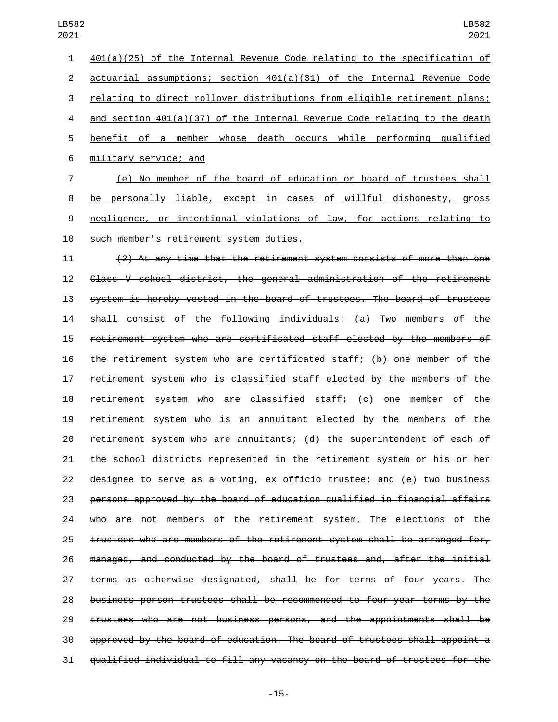401(a)(25) of the Internal Revenue Code relating to the specification of actuarial assumptions; section 401(a)(31) of the Internal Revenue Code relating to direct rollover distributions from eligible retirement plans; and section 401(a)(37) of the Internal Revenue Code relating to the death benefit of a member whose death occurs while performing qualified military service; and6 (e) No member of the board of education or board of trustees shall

 be personally liable, except in cases of willful dishonesty, gross negligence, or intentional violations of law, for actions relating to 10 such member's retirement system duties.

 (2) At any time that the retirement system consists of more than one Class V school district, the general administration of the retirement system is hereby vested in the board of trustees. The board of trustees shall consist of the following individuals: (a) Two members of the retirement system who are certificated staff elected by the members of the retirement system who are certificated staff; (b) one member of the retirement system who is classified staff elected by the members of the retirement system who are classified staff; (c) one member of the retirement system who is an annuitant elected by the members of the retirement system who are annuitants; (d) the superintendent of each of the school districts represented in the retirement system or his or her designee to serve as a voting, ex officio trustee; and (e) two business persons approved by the board of education qualified in financial affairs who are not members of the retirement system. The elections of the trustees who are members of the retirement system shall be arranged for, managed, and conducted by the board of trustees and, after the initial terms as otherwise designated, shall be for terms of four years. The business person trustees shall be recommended to four-year terms by the trustees who are not business persons, and the appointments shall be approved by the board of education. The board of trustees shall appoint a qualified individual to fill any vacancy on the board of trustees for the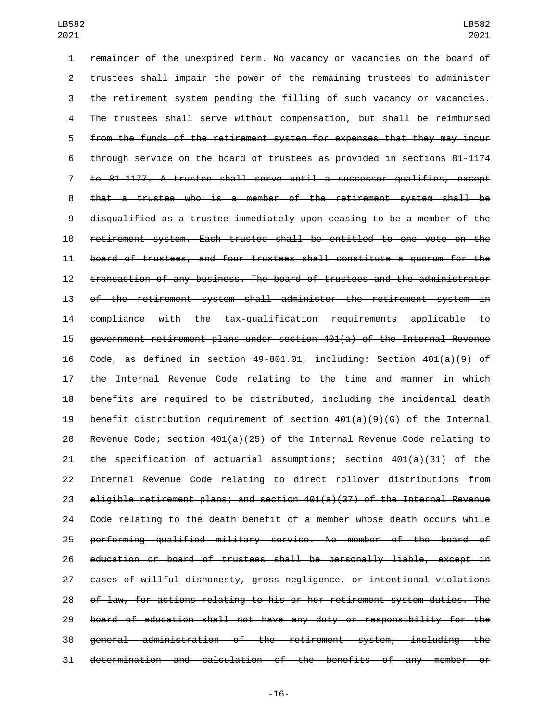remainder of the unexpired term. No vacancy or vacancies on the board of trustees shall impair the power of the remaining trustees to administer the retirement system pending the filling of such vacancy or vacancies. The trustees shall serve without compensation, but shall be reimbursed from the funds of the retirement system for expenses that they may incur through service on the board of trustees as provided in sections 81-1174 to 81-1177. A trustee shall serve until a successor qualifies, except that a trustee who is a member of the retirement system shall be disqualified as a trustee immediately upon ceasing to be a member of the retirement system. Each trustee shall be entitled to one vote on the board of trustees, and four trustees shall constitute a quorum for the transaction of any business. The board of trustees and the administrator of the retirement system shall administer the retirement system in compliance with the tax-qualification requirements applicable to government retirement plans under section 401(a) of the Internal Revenue Code, as defined in section 49-801.01, including: Section 401(a)(9) of the Internal Revenue Code relating to the time and manner in which benefits are required to be distributed, including the incidental death benefit distribution requirement of section 401(a)(9)(G) of the Internal Revenue Code; section 401(a)(25) of the Internal Revenue Code relating to the specification of actuarial assumptions; section 401(a)(31) of the Internal Revenue Code relating to direct rollover distributions from 23 eligible retirement plans; and section  $401(a)(37)$  of the Internal Revenue Code relating to the death benefit of a member whose death occurs while performing qualified military service. No member of the board of education or board of trustees shall be personally liable, except in cases of willful dishonesty, gross negligence, or intentional violations of law, for actions relating to his or her retirement system duties. The board of education shall not have any duty or responsibility for the general administration of the retirement system, including the determination and calculation of the benefits of any member or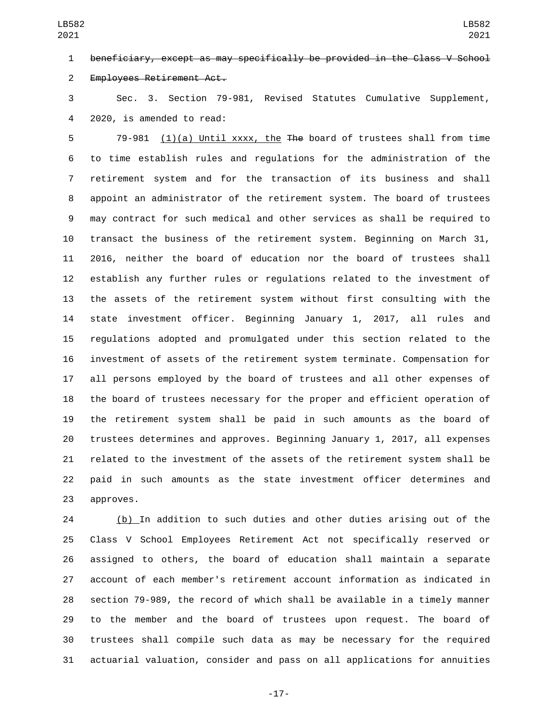beneficiary, except as may specifically be provided in the Class V School 2 Employees Retirement Act.

 Sec. 3. Section 79-981, Revised Statutes Cumulative Supplement, 4 2020, is amended to read:

 79-981 (1)(a) Until xxxx, the The board of trustees shall from time to time establish rules and regulations for the administration of the retirement system and for the transaction of its business and shall appoint an administrator of the retirement system. The board of trustees may contract for such medical and other services as shall be required to transact the business of the retirement system. Beginning on March 31, 2016, neither the board of education nor the board of trustees shall establish any further rules or regulations related to the investment of the assets of the retirement system without first consulting with the state investment officer. Beginning January 1, 2017, all rules and regulations adopted and promulgated under this section related to the investment of assets of the retirement system terminate. Compensation for all persons employed by the board of trustees and all other expenses of the board of trustees necessary for the proper and efficient operation of the retirement system shall be paid in such amounts as the board of trustees determines and approves. Beginning January 1, 2017, all expenses related to the investment of the assets of the retirement system shall be paid in such amounts as the state investment officer determines and 23 approves.

 (b) In addition to such duties and other duties arising out of the Class V School Employees Retirement Act not specifically reserved or assigned to others, the board of education shall maintain a separate account of each member's retirement account information as indicated in section 79-989, the record of which shall be available in a timely manner to the member and the board of trustees upon request. The board of trustees shall compile such data as may be necessary for the required actuarial valuation, consider and pass on all applications for annuities

-17-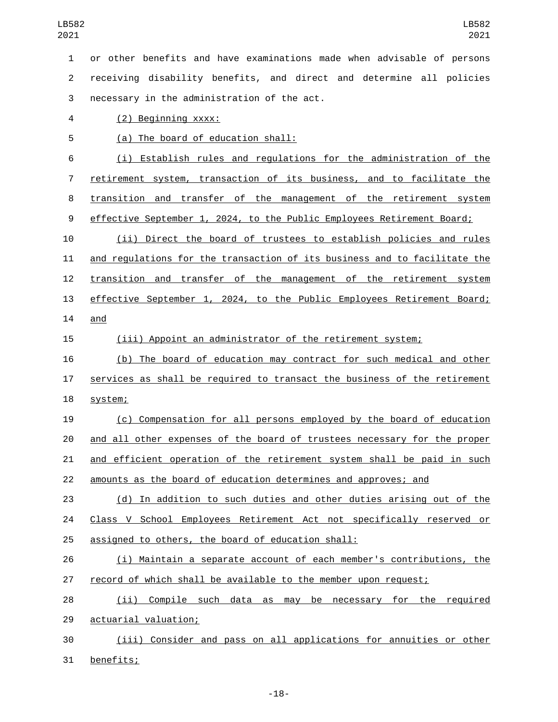or other benefits and have examinations made when advisable of persons receiving disability benefits, and direct and determine all policies 3 necessary in the administration of the act. (2) Beginning xxxx:4

5 (a) The board of education shall:

 (i) Establish rules and regulations for the administration of the retirement system, transaction of its business, and to facilitate the transition and transfer of the management of the retirement system effective September 1, 2024, to the Public Employees Retirement Board;

 (ii) Direct the board of trustees to establish policies and rules and regulations for the transaction of its business and to facilitate the transition and transfer of the management of the retirement system effective September 1, 2024, to the Public Employees Retirement Board; 14 and

(iii) Appoint an administrator of the retirement system;

 (b) The board of education may contract for such medical and other services as shall be required to transact the business of the retirement 18 system;

 (c) Compensation for all persons employed by the board of education and all other expenses of the board of trustees necessary for the proper and efficient operation of the retirement system shall be paid in such amounts as the board of education determines and approves; and

 (d) In addition to such duties and other duties arising out of the Class V School Employees Retirement Act not specifically reserved or 25 assigned to others, the board of education shall:

 (i) Maintain a separate account of each member's contributions, the record of which shall be available to the member upon request;

 (ii) Compile such data as may be necessary for the required 29 actuarial valuation;

 (iii) Consider and pass on all applications for annuities or other 31 benefits;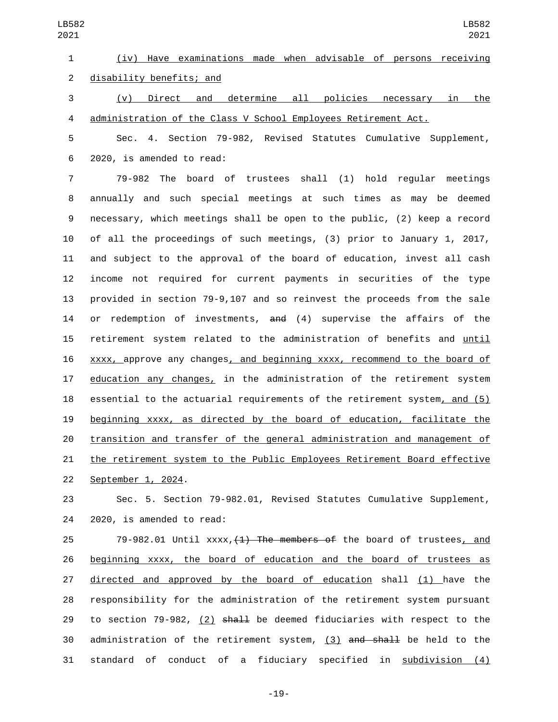(iv) Have examinations made when advisable of persons receiving 2 disability benefits; and (v) Direct and determine all policies necessary in the administration of the Class V School Employees Retirement Act. Sec. 4. Section 79-982, Revised Statutes Cumulative Supplement, 2020, is amended to read:6 79-982 The board of trustees shall (1) hold regular meetings annually and such special meetings at such times as may be deemed necessary, which meetings shall be open to the public, (2) keep a record of all the proceedings of such meetings, (3) prior to January 1, 2017, and subject to the approval of the board of education, invest all cash income not required for current payments in securities of the type LB582 LB582 

 provided in section 79-9,107 and so reinvest the proceeds from the sale 14 or redemption of investments, and (4) supervise the affairs of the retirement system related to the administration of benefits and until xxxx, approve any changes, and beginning xxxx, recommend to the board of education any changes, in the administration of the retirement system essential to the actuarial requirements of the retirement system, and (5) beginning xxxx, as directed by the board of education, facilitate the transition and transfer of the general administration and management of the retirement system to the Public Employees Retirement Board effective 22 September 1, 2024.

 Sec. 5. Section 79-982.01, Revised Statutes Cumulative Supplement, 24 2020, is amended to read:

 $79-982.01$  Until  $xxxx, 41$ ) The members of the board of trustees, and beginning xxxx, the board of education and the board of trustees as directed and approved by the board of education shall (1) have the responsibility for the administration of the retirement system pursuant 29 to section  $79-982$ , (2) shall be deemed fiduciaries with respect to the administration of the retirement system, (3) and shall be held to the 31 standard of conduct of a fiduciary specified in subdivision (4)

-19-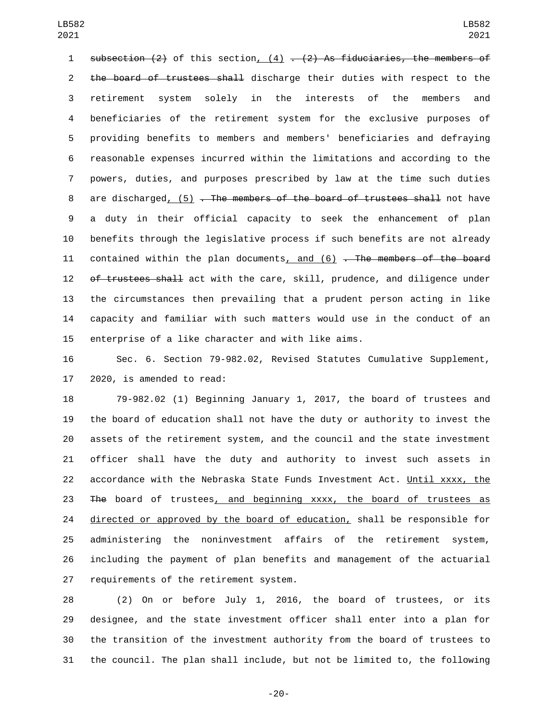1 subsection (2) of this section, (4)  $-$  (2) As fiduciaries, the members of 2 the board of trustees shall discharge their duties with respect to the retirement system solely in the interests of the members and beneficiaries of the retirement system for the exclusive purposes of providing benefits to members and members' beneficiaries and defraying reasonable expenses incurred within the limitations and according to the powers, duties, and purposes prescribed by law at the time such duties 8 are discharged, (5) . The members of the board of trustees shall not have a duty in their official capacity to seek the enhancement of plan benefits through the legislative process if such benefits are not already 11 contained within the plan documents, and  $(6)$  . The members of the board 12 of trustees shall act with the care, skill, prudence, and diligence under the circumstances then prevailing that a prudent person acting in like capacity and familiar with such matters would use in the conduct of an enterprise of a like character and with like aims.

 Sec. 6. Section 79-982.02, Revised Statutes Cumulative Supplement, 2020, is amended to read:

 79-982.02 (1) Beginning January 1, 2017, the board of trustees and the board of education shall not have the duty or authority to invest the assets of the retirement system, and the council and the state investment officer shall have the duty and authority to invest such assets in accordance with the Nebraska State Funds Investment Act. Until xxxx, the The board of trustees, and beginning xxxx, the board of trustees as 24 directed or approved by the board of education, shall be responsible for administering the noninvestment affairs of the retirement system, including the payment of plan benefits and management of the actuarial 27 requirements of the retirement system.

 (2) On or before July 1, 2016, the board of trustees, or its designee, and the state investment officer shall enter into a plan for the transition of the investment authority from the board of trustees to the council. The plan shall include, but not be limited to, the following

-20-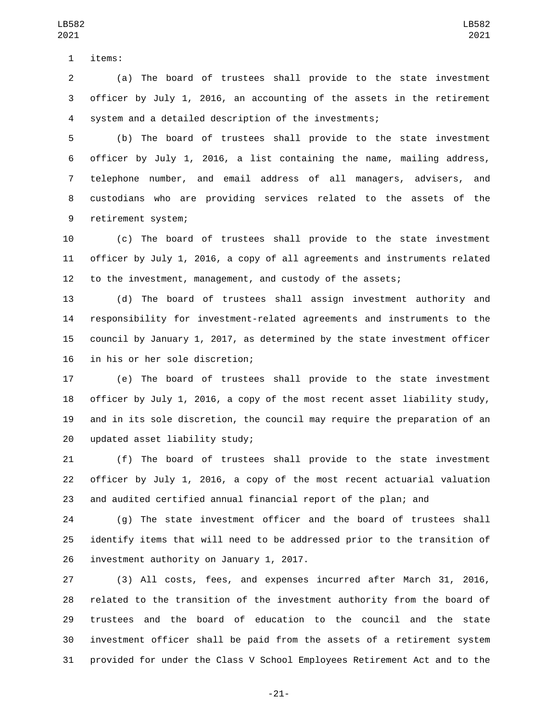1 items:

 (a) The board of trustees shall provide to the state investment officer by July 1, 2016, an accounting of the assets in the retirement system and a detailed description of the investments;

 (b) The board of trustees shall provide to the state investment officer by July 1, 2016, a list containing the name, mailing address, telephone number, and email address of all managers, advisers, and custodians who are providing services related to the assets of the 9 retirement system;

 (c) The board of trustees shall provide to the state investment officer by July 1, 2016, a copy of all agreements and instruments related to the investment, management, and custody of the assets;

 (d) The board of trustees shall assign investment authority and responsibility for investment-related agreements and instruments to the council by January 1, 2017, as determined by the state investment officer 16 in his or her sole discretion;

 (e) The board of trustees shall provide to the state investment officer by July 1, 2016, a copy of the most recent asset liability study, and in its sole discretion, the council may require the preparation of an updated asset liability study;20

 (f) The board of trustees shall provide to the state investment officer by July 1, 2016, a copy of the most recent actuarial valuation and audited certified annual financial report of the plan; and

 (g) The state investment officer and the board of trustees shall identify items that will need to be addressed prior to the transition of 26 investment authority on January 1, 2017.

 (3) All costs, fees, and expenses incurred after March 31, 2016, related to the transition of the investment authority from the board of trustees and the board of education to the council and the state investment officer shall be paid from the assets of a retirement system provided for under the Class V School Employees Retirement Act and to the

-21-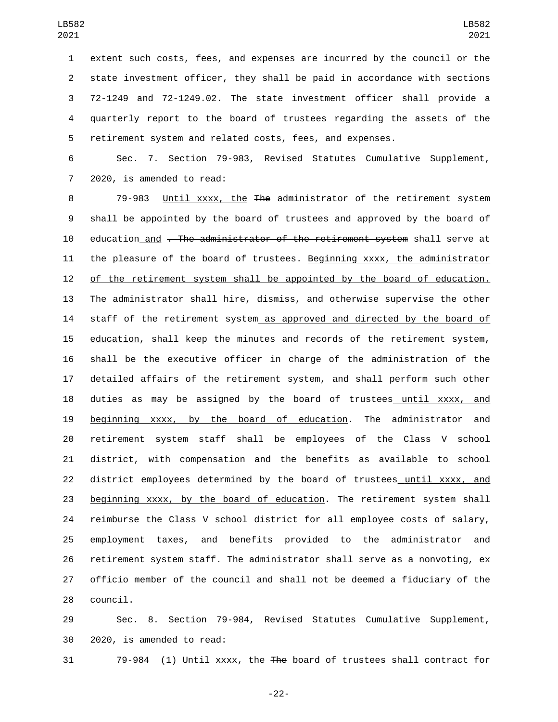extent such costs, fees, and expenses are incurred by the council or the state investment officer, they shall be paid in accordance with sections 72-1249 and 72-1249.02. The state investment officer shall provide a quarterly report to the board of trustees regarding the assets of the retirement system and related costs, fees, and expenses.

 Sec. 7. Section 79-983, Revised Statutes Cumulative Supplement, 7 2020, is amended to read:

 79-983 Until xxxx, the The administrator of the retirement system shall be appointed by the board of trustees and approved by the board of 10 education and . The administrator of the retirement system shall serve at the pleasure of the board of trustees. Beginning xxxx, the administrator of the retirement system shall be appointed by the board of education. The administrator shall hire, dismiss, and otherwise supervise the other 14 staff of the retirement system as approved and directed by the board of education, shall keep the minutes and records of the retirement system, shall be the executive officer in charge of the administration of the detailed affairs of the retirement system, and shall perform such other duties as may be assigned by the board of trustees until xxxx, and beginning xxxx, by the board of education. The administrator and retirement system staff shall be employees of the Class V school district, with compensation and the benefits as available to school 22 district employees determined by the board of trustees until xxxx, and beginning xxxx, by the board of education. The retirement system shall reimburse the Class V school district for all employee costs of salary, employment taxes, and benefits provided to the administrator and retirement system staff. The administrator shall serve as a nonvoting, ex officio member of the council and shall not be deemed a fiduciary of the 28 council.

 Sec. 8. Section 79-984, Revised Statutes Cumulative Supplement, 30 2020, is amended to read:

79-984 (1) Until xxxx, the The board of trustees shall contract for

-22-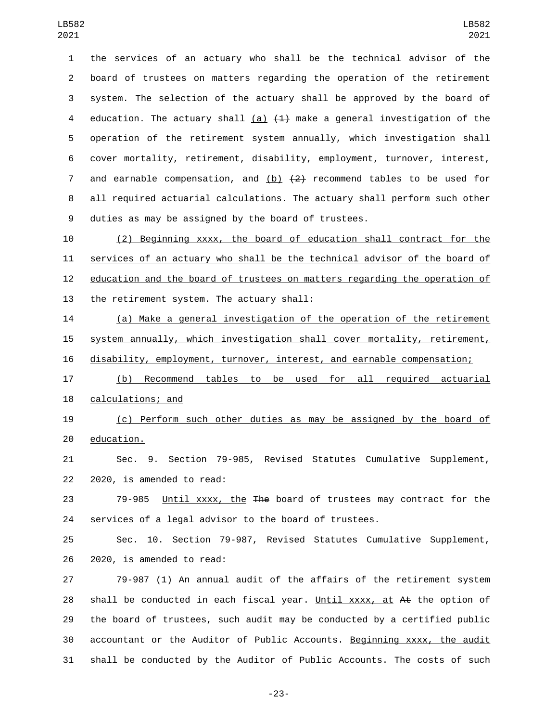the services of an actuary who shall be the technical advisor of the board of trustees on matters regarding the operation of the retirement system. The selection of the actuary shall be approved by the board of 4 education. The actuary shall  $(a)$   $(1)$  make a general investigation of the operation of the retirement system annually, which investigation shall cover mortality, retirement, disability, employment, turnover, interest, 7 and earnable compensation, and  $(b)$   $(2)$  recommend tables to be used for all required actuarial calculations. The actuary shall perform such other duties as may be assigned by the board of trustees.

 (2) Beginning xxxx, the board of education shall contract for the services of an actuary who shall be the technical advisor of the board of education and the board of trustees on matters regarding the operation of 13 the retirement system. The actuary shall:

 (a) Make a general investigation of the operation of the retirement system annually, which investigation shall cover mortality, retirement,

disability, employment, turnover, interest, and earnable compensation;

 (b) Recommend tables to be used for all required actuarial 18 calculations; and

 (c) Perform such other duties as may be assigned by the board of 20 education.

 Sec. 9. Section 79-985, Revised Statutes Cumulative Supplement, 22 2020, is amended to read:

23 79-985 Until xxxx, the The board of trustees may contract for the services of a legal advisor to the board of trustees.

 Sec. 10. Section 79-987, Revised Statutes Cumulative Supplement, 26 2020, is amended to read:

 79-987 (1) An annual audit of the affairs of the retirement system 28 shall be conducted in each fiscal year. Until xxxx, at At the option of the board of trustees, such audit may be conducted by a certified public accountant or the Auditor of Public Accounts. Beginning xxxx, the audit shall be conducted by the Auditor of Public Accounts. The costs of such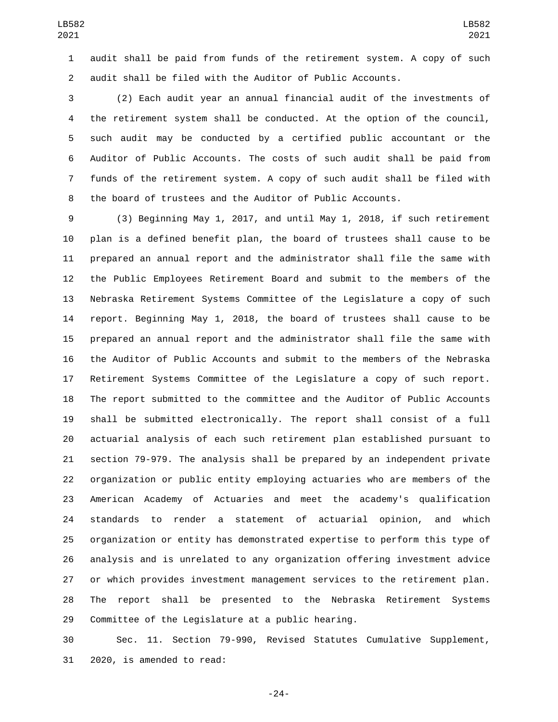audit shall be paid from funds of the retirement system. A copy of such audit shall be filed with the Auditor of Public Accounts.

 (2) Each audit year an annual financial audit of the investments of the retirement system shall be conducted. At the option of the council, such audit may be conducted by a certified public accountant or the Auditor of Public Accounts. The costs of such audit shall be paid from funds of the retirement system. A copy of such audit shall be filed with the board of trustees and the Auditor of Public Accounts.

 (3) Beginning May 1, 2017, and until May 1, 2018, if such retirement plan is a defined benefit plan, the board of trustees shall cause to be prepared an annual report and the administrator shall file the same with the Public Employees Retirement Board and submit to the members of the Nebraska Retirement Systems Committee of the Legislature a copy of such report. Beginning May 1, 2018, the board of trustees shall cause to be prepared an annual report and the administrator shall file the same with the Auditor of Public Accounts and submit to the members of the Nebraska Retirement Systems Committee of the Legislature a copy of such report. The report submitted to the committee and the Auditor of Public Accounts shall be submitted electronically. The report shall consist of a full actuarial analysis of each such retirement plan established pursuant to section 79-979. The analysis shall be prepared by an independent private organization or public entity employing actuaries who are members of the American Academy of Actuaries and meet the academy's qualification standards to render a statement of actuarial opinion, and which organization or entity has demonstrated expertise to perform this type of analysis and is unrelated to any organization offering investment advice or which provides investment management services to the retirement plan. The report shall be presented to the Nebraska Retirement Systems 29 Committee of the Legislature at a public hearing.

 Sec. 11. Section 79-990, Revised Statutes Cumulative Supplement, 31 2020, is amended to read:

-24-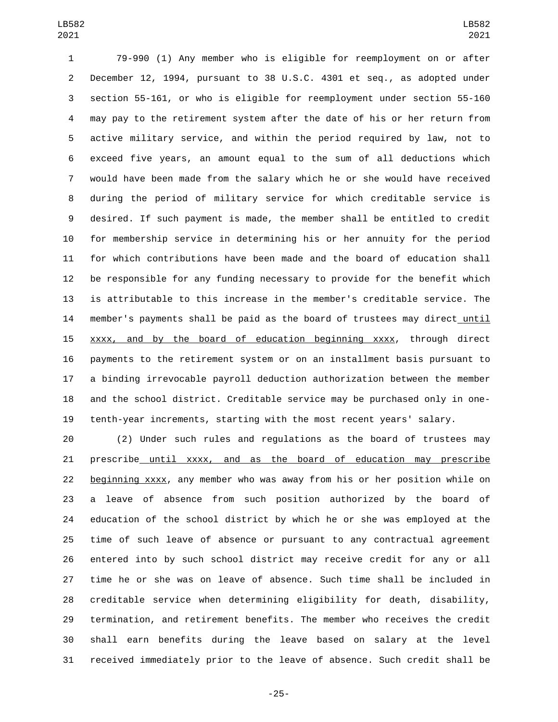79-990 (1) Any member who is eligible for reemployment on or after December 12, 1994, pursuant to 38 U.S.C. 4301 et seq., as adopted under section 55-161, or who is eligible for reemployment under section 55-160 may pay to the retirement system after the date of his or her return from active military service, and within the period required by law, not to exceed five years, an amount equal to the sum of all deductions which would have been made from the salary which he or she would have received during the period of military service for which creditable service is desired. If such payment is made, the member shall be entitled to credit for membership service in determining his or her annuity for the period for which contributions have been made and the board of education shall be responsible for any funding necessary to provide for the benefit which is attributable to this increase in the member's creditable service. The member's payments shall be paid as the board of trustees may direct until xxxx, and by the board of education beginning xxxx, through direct payments to the retirement system or on an installment basis pursuant to a binding irrevocable payroll deduction authorization between the member and the school district. Creditable service may be purchased only in one-tenth-year increments, starting with the most recent years' salary.

 (2) Under such rules and regulations as the board of trustees may prescribe until xxxx, and as the board of education may prescribe beginning xxxx, any member who was away from his or her position while on a leave of absence from such position authorized by the board of education of the school district by which he or she was employed at the time of such leave of absence or pursuant to any contractual agreement entered into by such school district may receive credit for any or all time he or she was on leave of absence. Such time shall be included in creditable service when determining eligibility for death, disability, termination, and retirement benefits. The member who receives the credit shall earn benefits during the leave based on salary at the level received immediately prior to the leave of absence. Such credit shall be

-25-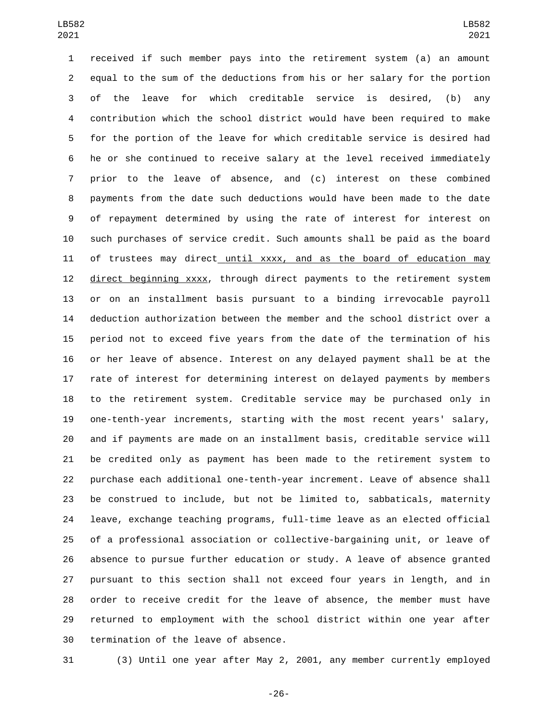received if such member pays into the retirement system (a) an amount equal to the sum of the deductions from his or her salary for the portion of the leave for which creditable service is desired, (b) any contribution which the school district would have been required to make for the portion of the leave for which creditable service is desired had he or she continued to receive salary at the level received immediately prior to the leave of absence, and (c) interest on these combined payments from the date such deductions would have been made to the date of repayment determined by using the rate of interest for interest on such purchases of service credit. Such amounts shall be paid as the board 11 of trustees may direct\_until xxxx, and as the board of education may direct beginning xxxx, through direct payments to the retirement system or on an installment basis pursuant to a binding irrevocable payroll deduction authorization between the member and the school district over a period not to exceed five years from the date of the termination of his or her leave of absence. Interest on any delayed payment shall be at the rate of interest for determining interest on delayed payments by members to the retirement system. Creditable service may be purchased only in one-tenth-year increments, starting with the most recent years' salary, and if payments are made on an installment basis, creditable service will be credited only as payment has been made to the retirement system to purchase each additional one-tenth-year increment. Leave of absence shall be construed to include, but not be limited to, sabbaticals, maternity leave, exchange teaching programs, full-time leave as an elected official of a professional association or collective-bargaining unit, or leave of absence to pursue further education or study. A leave of absence granted pursuant to this section shall not exceed four years in length, and in order to receive credit for the leave of absence, the member must have returned to employment with the school district within one year after 30 termination of the leave of absence.

(3) Until one year after May 2, 2001, any member currently employed

-26-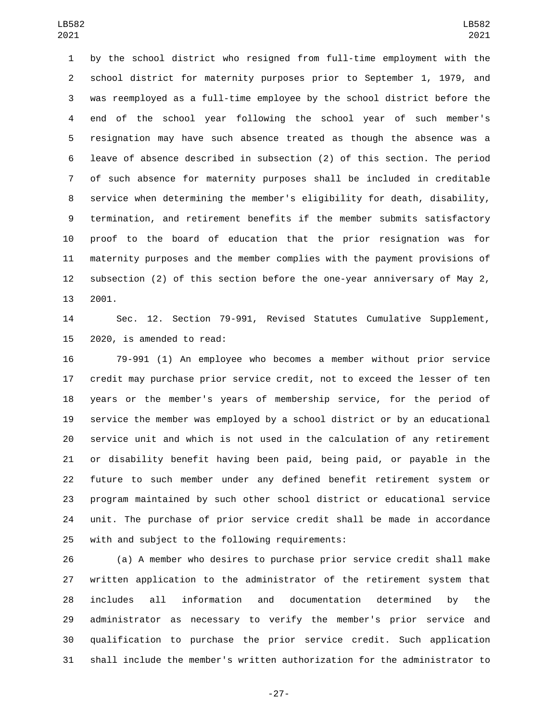by the school district who resigned from full-time employment with the school district for maternity purposes prior to September 1, 1979, and was reemployed as a full-time employee by the school district before the end of the school year following the school year of such member's resignation may have such absence treated as though the absence was a leave of absence described in subsection (2) of this section. The period of such absence for maternity purposes shall be included in creditable service when determining the member's eligibility for death, disability, termination, and retirement benefits if the member submits satisfactory proof to the board of education that the prior resignation was for maternity purposes and the member complies with the payment provisions of subsection (2) of this section before the one-year anniversary of May 2, 13 2001.

 Sec. 12. Section 79-991, Revised Statutes Cumulative Supplement, 15 2020, is amended to read:

 79-991 (1) An employee who becomes a member without prior service credit may purchase prior service credit, not to exceed the lesser of ten years or the member's years of membership service, for the period of service the member was employed by a school district or by an educational service unit and which is not used in the calculation of any retirement or disability benefit having been paid, being paid, or payable in the future to such member under any defined benefit retirement system or program maintained by such other school district or educational service unit. The purchase of prior service credit shall be made in accordance 25 with and subject to the following requirements:

 (a) A member who desires to purchase prior service credit shall make written application to the administrator of the retirement system that includes all information and documentation determined by the administrator as necessary to verify the member's prior service and qualification to purchase the prior service credit. Such application shall include the member's written authorization for the administrator to

-27-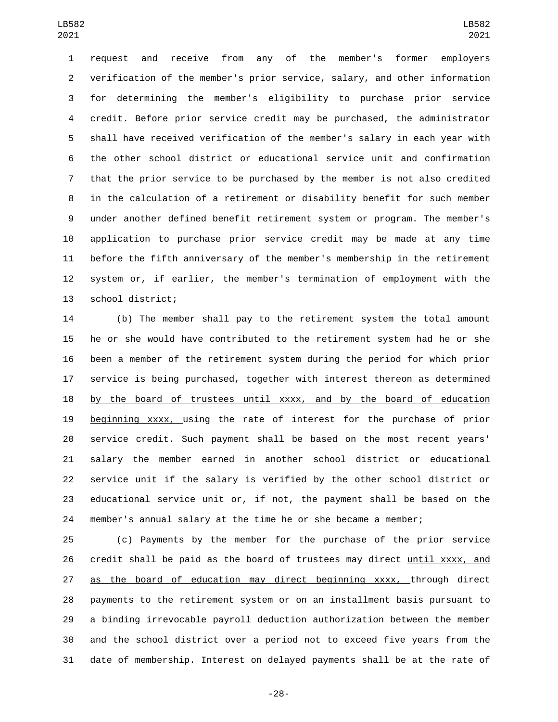request and receive from any of the member's former employers verification of the member's prior service, salary, and other information for determining the member's eligibility to purchase prior service credit. Before prior service credit may be purchased, the administrator shall have received verification of the member's salary in each year with the other school district or educational service unit and confirmation that the prior service to be purchased by the member is not also credited in the calculation of a retirement or disability benefit for such member under another defined benefit retirement system or program. The member's application to purchase prior service credit may be made at any time before the fifth anniversary of the member's membership in the retirement system or, if earlier, the member's termination of employment with the 13 school district;

 (b) The member shall pay to the retirement system the total amount he or she would have contributed to the retirement system had he or she been a member of the retirement system during the period for which prior service is being purchased, together with interest thereon as determined 18 by the board of trustees until xxxx, and by the board of education beginning xxxx, using the rate of interest for the purchase of prior service credit. Such payment shall be based on the most recent years' salary the member earned in another school district or educational service unit if the salary is verified by the other school district or educational service unit or, if not, the payment shall be based on the member's annual salary at the time he or she became a member;

 (c) Payments by the member for the purchase of the prior service credit shall be paid as the board of trustees may direct until xxxx, and as the board of education may direct beginning xxxx, through direct payments to the retirement system or on an installment basis pursuant to a binding irrevocable payroll deduction authorization between the member and the school district over a period not to exceed five years from the date of membership. Interest on delayed payments shall be at the rate of

-28-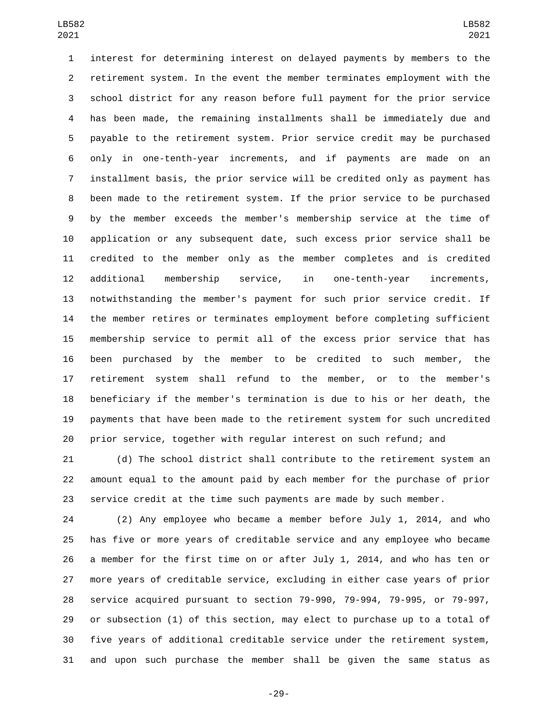interest for determining interest on delayed payments by members to the retirement system. In the event the member terminates employment with the school district for any reason before full payment for the prior service has been made, the remaining installments shall be immediately due and payable to the retirement system. Prior service credit may be purchased only in one-tenth-year increments, and if payments are made on an installment basis, the prior service will be credited only as payment has been made to the retirement system. If the prior service to be purchased by the member exceeds the member's membership service at the time of application or any subsequent date, such excess prior service shall be credited to the member only as the member completes and is credited additional membership service, in one-tenth-year increments, notwithstanding the member's payment for such prior service credit. If the member retires or terminates employment before completing sufficient membership service to permit all of the excess prior service that has been purchased by the member to be credited to such member, the retirement system shall refund to the member, or to the member's beneficiary if the member's termination is due to his or her death, the payments that have been made to the retirement system for such uncredited prior service, together with regular interest on such refund; and

 (d) The school district shall contribute to the retirement system an amount equal to the amount paid by each member for the purchase of prior service credit at the time such payments are made by such member.

 (2) Any employee who became a member before July 1, 2014, and who has five or more years of creditable service and any employee who became a member for the first time on or after July 1, 2014, and who has ten or more years of creditable service, excluding in either case years of prior service acquired pursuant to section 79-990, 79-994, 79-995, or 79-997, or subsection (1) of this section, may elect to purchase up to a total of five years of additional creditable service under the retirement system, and upon such purchase the member shall be given the same status as

-29-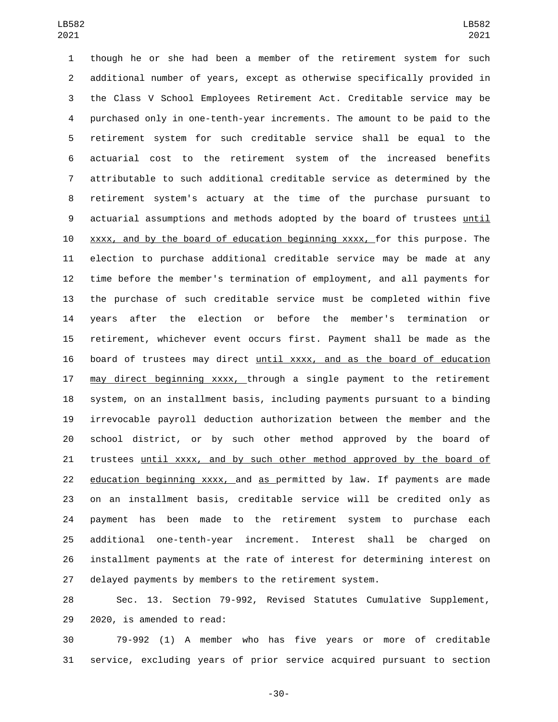though he or she had been a member of the retirement system for such additional number of years, except as otherwise specifically provided in the Class V School Employees Retirement Act. Creditable service may be purchased only in one-tenth-year increments. The amount to be paid to the retirement system for such creditable service shall be equal to the actuarial cost to the retirement system of the increased benefits attributable to such additional creditable service as determined by the retirement system's actuary at the time of the purchase pursuant to actuarial assumptions and methods adopted by the board of trustees until xxxx, and by the board of education beginning xxxx, for this purpose. The election to purchase additional creditable service may be made at any time before the member's termination of employment, and all payments for the purchase of such creditable service must be completed within five years after the election or before the member's termination or retirement, whichever event occurs first. Payment shall be made as the board of trustees may direct until xxxx, and as the board of education 17 may direct beginning xxxx, through a single payment to the retirement system, on an installment basis, including payments pursuant to a binding irrevocable payroll deduction authorization between the member and the school district, or by such other method approved by the board of trustees until xxxx, and by such other method approved by the board of 22 education beginning xxxx, and as permitted by law. If payments are made on an installment basis, creditable service will be credited only as payment has been made to the retirement system to purchase each additional one-tenth-year increment. Interest shall be charged on installment payments at the rate of interest for determining interest on delayed payments by members to the retirement system.

 Sec. 13. Section 79-992, Revised Statutes Cumulative Supplement, 29 2020, is amended to read:

 79-992 (1) A member who has five years or more of creditable service, excluding years of prior service acquired pursuant to section

-30-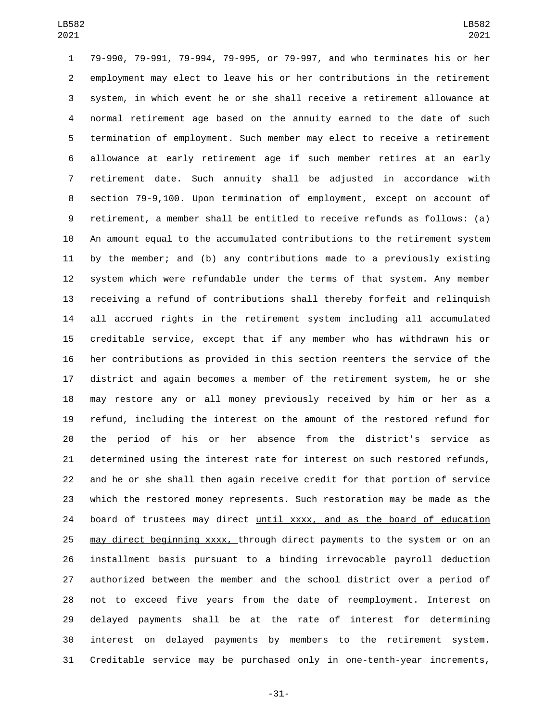79-990, 79-991, 79-994, 79-995, or 79-997, and who terminates his or her employment may elect to leave his or her contributions in the retirement system, in which event he or she shall receive a retirement allowance at normal retirement age based on the annuity earned to the date of such termination of employment. Such member may elect to receive a retirement allowance at early retirement age if such member retires at an early retirement date. Such annuity shall be adjusted in accordance with section 79-9,100. Upon termination of employment, except on account of retirement, a member shall be entitled to receive refunds as follows: (a) An amount equal to the accumulated contributions to the retirement system by the member; and (b) any contributions made to a previously existing system which were refundable under the terms of that system. Any member receiving a refund of contributions shall thereby forfeit and relinquish all accrued rights in the retirement system including all accumulated creditable service, except that if any member who has withdrawn his or her contributions as provided in this section reenters the service of the district and again becomes a member of the retirement system, he or she may restore any or all money previously received by him or her as a refund, including the interest on the amount of the restored refund for the period of his or her absence from the district's service as determined using the interest rate for interest on such restored refunds, and he or she shall then again receive credit for that portion of service which the restored money represents. Such restoration may be made as the board of trustees may direct until xxxx, and as the board of education 25 may direct beginning xxxx, through direct payments to the system or on an installment basis pursuant to a binding irrevocable payroll deduction authorized between the member and the school district over a period of not to exceed five years from the date of reemployment. Interest on delayed payments shall be at the rate of interest for determining interest on delayed payments by members to the retirement system. Creditable service may be purchased only in one-tenth-year increments,

-31-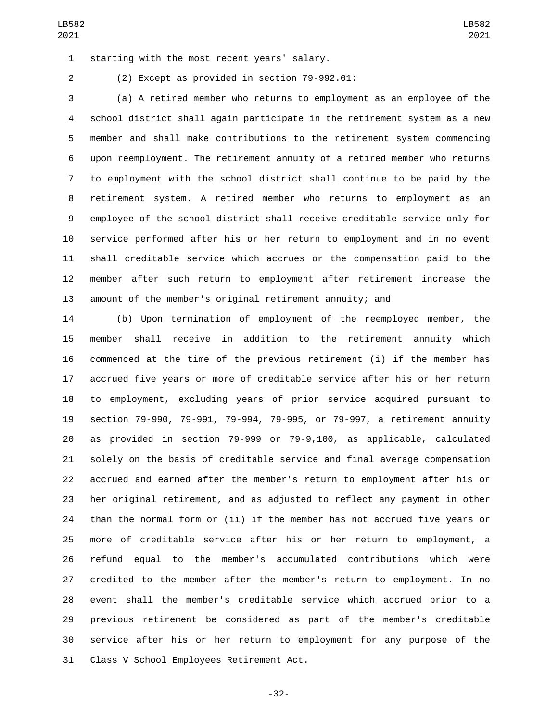1 starting with the most recent years' salary.

(2) Except as provided in section 79-992.01:2

 (a) A retired member who returns to employment as an employee of the school district shall again participate in the retirement system as a new member and shall make contributions to the retirement system commencing upon reemployment. The retirement annuity of a retired member who returns to employment with the school district shall continue to be paid by the retirement system. A retired member who returns to employment as an employee of the school district shall receive creditable service only for service performed after his or her return to employment and in no event shall creditable service which accrues or the compensation paid to the member after such return to employment after retirement increase the amount of the member's original retirement annuity; and

 (b) Upon termination of employment of the reemployed member, the member shall receive in addition to the retirement annuity which commenced at the time of the previous retirement (i) if the member has accrued five years or more of creditable service after his or her return to employment, excluding years of prior service acquired pursuant to section 79-990, 79-991, 79-994, 79-995, or 79-997, a retirement annuity as provided in section 79-999 or 79-9,100, as applicable, calculated solely on the basis of creditable service and final average compensation accrued and earned after the member's return to employment after his or her original retirement, and as adjusted to reflect any payment in other than the normal form or (ii) if the member has not accrued five years or more of creditable service after his or her return to employment, a refund equal to the member's accumulated contributions which were credited to the member after the member's return to employment. In no event shall the member's creditable service which accrued prior to a previous retirement be considered as part of the member's creditable service after his or her return to employment for any purpose of the 31 Class V School Employees Retirement Act.

-32-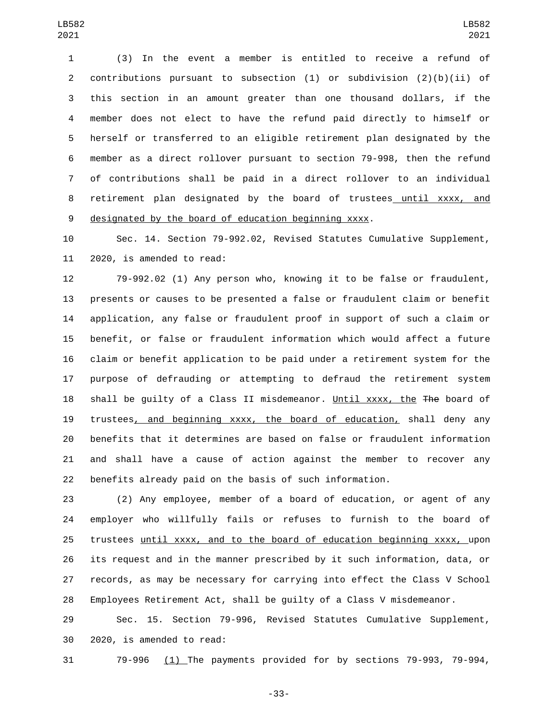(3) In the event a member is entitled to receive a refund of contributions pursuant to subsection (1) or subdivision (2)(b)(ii) of this section in an amount greater than one thousand dollars, if the member does not elect to have the refund paid directly to himself or herself or transferred to an eligible retirement plan designated by the member as a direct rollover pursuant to section 79-998, then the refund of contributions shall be paid in a direct rollover to an individual retirement plan designated by the board of trustees until xxxx, and designated by the board of education beginning xxxx.

 Sec. 14. Section 79-992.02, Revised Statutes Cumulative Supplement, 11 2020, is amended to read:

 79-992.02 (1) Any person who, knowing it to be false or fraudulent, presents or causes to be presented a false or fraudulent claim or benefit application, any false or fraudulent proof in support of such a claim or benefit, or false or fraudulent information which would affect a future claim or benefit application to be paid under a retirement system for the purpose of defrauding or attempting to defraud the retirement system 18 shall be guilty of a Class II misdemeanor. Until xxxx, the The board of trustees, and beginning xxxx, the board of education, shall deny any benefits that it determines are based on false or fraudulent information and shall have a cause of action against the member to recover any benefits already paid on the basis of such information.

 (2) Any employee, member of a board of education, or agent of any employer who willfully fails or refuses to furnish to the board of 25 trustees until xxxx, and to the board of education beginning xxxx, upon its request and in the manner prescribed by it such information, data, or records, as may be necessary for carrying into effect the Class V School Employees Retirement Act, shall be guilty of a Class V misdemeanor.

 Sec. 15. Section 79-996, Revised Statutes Cumulative Supplement, 30 2020, is amended to read:

79-996 (1) The payments provided for by sections 79-993, 79-994,

-33-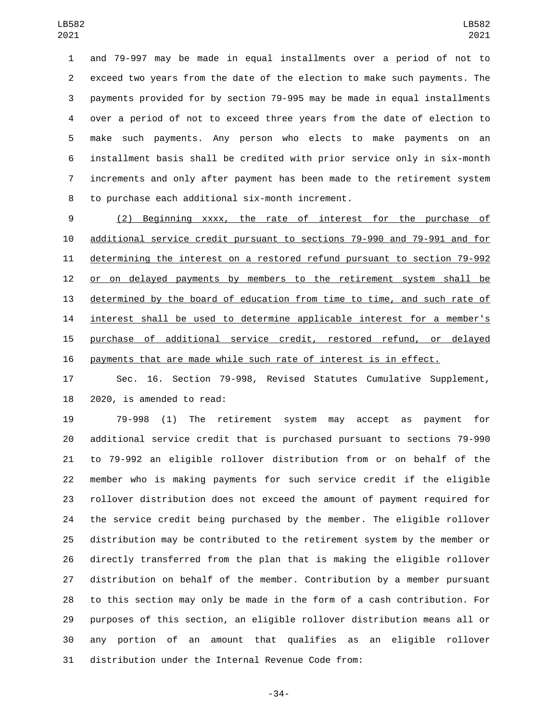and 79-997 may be made in equal installments over a period of not to exceed two years from the date of the election to make such payments. The payments provided for by section 79-995 may be made in equal installments over a period of not to exceed three years from the date of election to make such payments. Any person who elects to make payments on an installment basis shall be credited with prior service only in six-month increments and only after payment has been made to the retirement system 8 to purchase each additional six-month increment.

 (2) Beginning xxxx, the rate of interest for the purchase of additional service credit pursuant to sections 79-990 and 79-991 and for determining the interest on a restored refund pursuant to section 79-992 12 or on delayed payments by members to the retirement system shall be determined by the board of education from time to time, and such rate of interest shall be used to determine applicable interest for a member's purchase of additional service credit, restored refund, or delayed payments that are made while such rate of interest is in effect.

 Sec. 16. Section 79-998, Revised Statutes Cumulative Supplement, 2020, is amended to read:

 79-998 (1) The retirement system may accept as payment for additional service credit that is purchased pursuant to sections 79-990 to 79-992 an eligible rollover distribution from or on behalf of the member who is making payments for such service credit if the eligible rollover distribution does not exceed the amount of payment required for the service credit being purchased by the member. The eligible rollover distribution may be contributed to the retirement system by the member or directly transferred from the plan that is making the eligible rollover distribution on behalf of the member. Contribution by a member pursuant to this section may only be made in the form of a cash contribution. For purposes of this section, an eligible rollover distribution means all or any portion of an amount that qualifies as an eligible rollover distribution under the Internal Revenue Code from:

-34-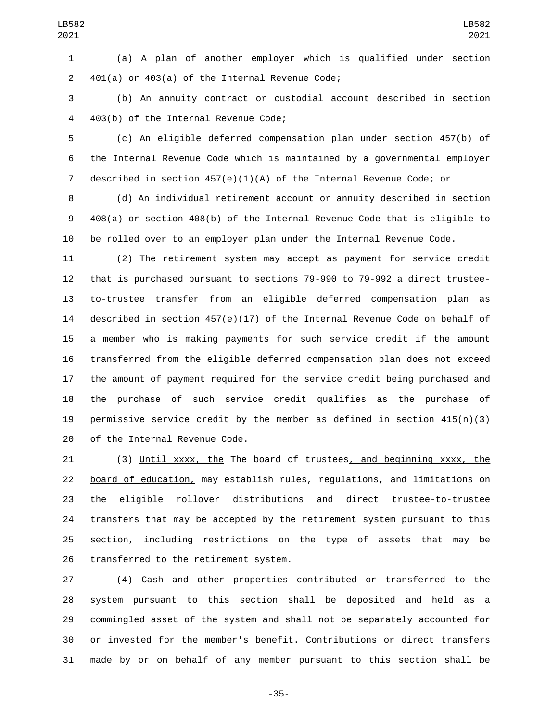(a) A plan of another employer which is qualified under section 401(a) or 403(a) of the Internal Revenue Code;

 (b) An annuity contract or custodial account described in section 403(b) of the Internal Revenue Code;4

 (c) An eligible deferred compensation plan under section 457(b) of the Internal Revenue Code which is maintained by a governmental employer described in section 457(e)(1)(A) of the Internal Revenue Code; or

 (d) An individual retirement account or annuity described in section 408(a) or section 408(b) of the Internal Revenue Code that is eligible to be rolled over to an employer plan under the Internal Revenue Code.

 (2) The retirement system may accept as payment for service credit that is purchased pursuant to sections 79-990 to 79-992 a direct trustee- to-trustee transfer from an eligible deferred compensation plan as described in section 457(e)(17) of the Internal Revenue Code on behalf of a member who is making payments for such service credit if the amount transferred from the eligible deferred compensation plan does not exceed the amount of payment required for the service credit being purchased and the purchase of such service credit qualifies as the purchase of permissive service credit by the member as defined in section 415(n)(3) 20 of the Internal Revenue Code.

 (3) Until xxxx, the The board of trustees, and beginning xxxx, the board of education, may establish rules, regulations, and limitations on the eligible rollover distributions and direct trustee-to-trustee transfers that may be accepted by the retirement system pursuant to this section, including restrictions on the type of assets that may be 26 transferred to the retirement system.

 (4) Cash and other properties contributed or transferred to the system pursuant to this section shall be deposited and held as a commingled asset of the system and shall not be separately accounted for or invested for the member's benefit. Contributions or direct transfers made by or on behalf of any member pursuant to this section shall be

-35-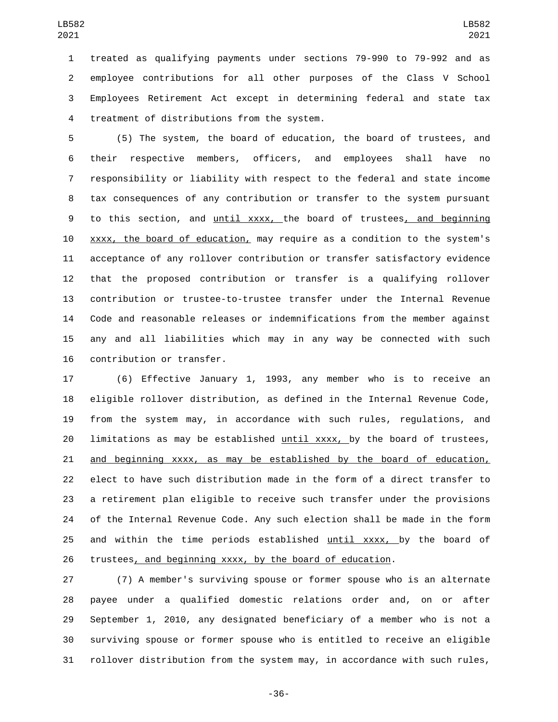treated as qualifying payments under sections 79-990 to 79-992 and as employee contributions for all other purposes of the Class V School Employees Retirement Act except in determining federal and state tax 4 treatment of distributions from the system.

 (5) The system, the board of education, the board of trustees, and their respective members, officers, and employees shall have no responsibility or liability with respect to the federal and state income tax consequences of any contribution or transfer to the system pursuant to this section, and until xxxx, the board of trustees, and beginning xxxx, the board of education, may require as a condition to the system's acceptance of any rollover contribution or transfer satisfactory evidence that the proposed contribution or transfer is a qualifying rollover contribution or trustee-to-trustee transfer under the Internal Revenue Code and reasonable releases or indemnifications from the member against any and all liabilities which may in any way be connected with such 16 contribution or transfer.

 (6) Effective January 1, 1993, any member who is to receive an eligible rollover distribution, as defined in the Internal Revenue Code, from the system may, in accordance with such rules, regulations, and limitations as may be established until xxxx, by the board of trustees, and beginning xxxx, as may be established by the board of education, elect to have such distribution made in the form of a direct transfer to a retirement plan eligible to receive such transfer under the provisions of the Internal Revenue Code. Any such election shall be made in the form 25 and within the time periods established until xxxx, by the board of 26 trustees, and beginning xxxx, by the board of education.

 (7) A member's surviving spouse or former spouse who is an alternate payee under a qualified domestic relations order and, on or after September 1, 2010, any designated beneficiary of a member who is not a surviving spouse or former spouse who is entitled to receive an eligible rollover distribution from the system may, in accordance with such rules,

-36-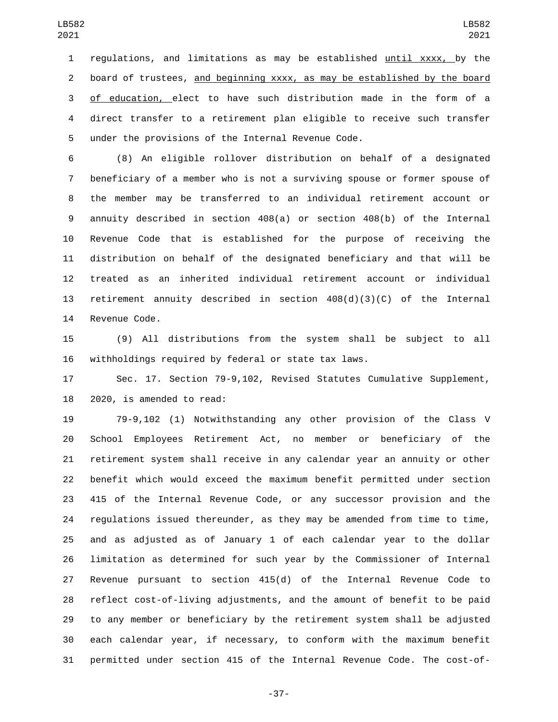regulations, and limitations as may be established until xxxx, by the board of trustees, and beginning xxxx, as may be established by the board of education, elect to have such distribution made in the form of a direct transfer to a retirement plan eligible to receive such transfer 5 under the provisions of the Internal Revenue Code.

 (8) An eligible rollover distribution on behalf of a designated beneficiary of a member who is not a surviving spouse or former spouse of the member may be transferred to an individual retirement account or annuity described in section 408(a) or section 408(b) of the Internal Revenue Code that is established for the purpose of receiving the distribution on behalf of the designated beneficiary and that will be treated as an inherited individual retirement account or individual retirement annuity described in section 408(d)(3)(C) of the Internal 14 Revenue Code.

 (9) All distributions from the system shall be subject to all withholdings required by federal or state tax laws.

 Sec. 17. Section 79-9,102, Revised Statutes Cumulative Supplement, 2020, is amended to read:

 79-9,102 (1) Notwithstanding any other provision of the Class V School Employees Retirement Act, no member or beneficiary of the retirement system shall receive in any calendar year an annuity or other benefit which would exceed the maximum benefit permitted under section 415 of the Internal Revenue Code, or any successor provision and the regulations issued thereunder, as they may be amended from time to time, and as adjusted as of January 1 of each calendar year to the dollar limitation as determined for such year by the Commissioner of Internal Revenue pursuant to section 415(d) of the Internal Revenue Code to reflect cost-of-living adjustments, and the amount of benefit to be paid to any member or beneficiary by the retirement system shall be adjusted each calendar year, if necessary, to conform with the maximum benefit permitted under section 415 of the Internal Revenue Code. The cost-of-

-37-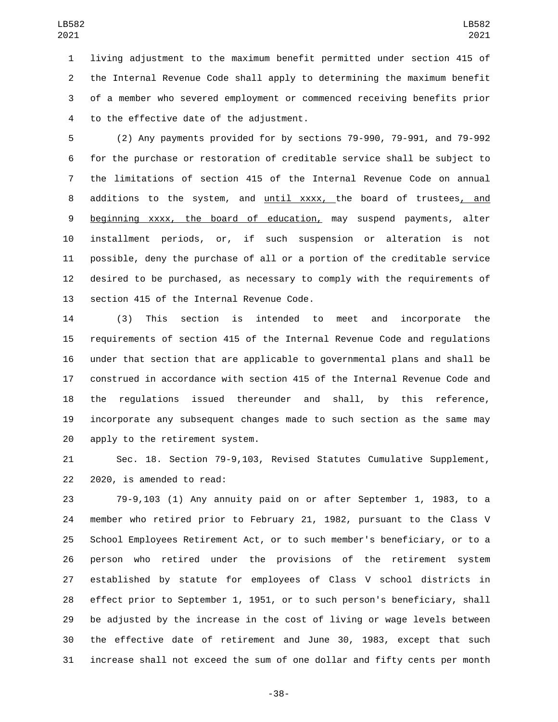living adjustment to the maximum benefit permitted under section 415 of the Internal Revenue Code shall apply to determining the maximum benefit of a member who severed employment or commenced receiving benefits prior 4 to the effective date of the adjustment.

 (2) Any payments provided for by sections 79-990, 79-991, and 79-992 for the purchase or restoration of creditable service shall be subject to the limitations of section 415 of the Internal Revenue Code on annual additions to the system, and until xxxx, the board of trustees, and beginning xxxx, the board of education, may suspend payments, alter installment periods, or, if such suspension or alteration is not possible, deny the purchase of all or a portion of the creditable service desired to be purchased, as necessary to comply with the requirements of 13 section 415 of the Internal Revenue Code.

 (3) This section is intended to meet and incorporate the requirements of section 415 of the Internal Revenue Code and regulations under that section that are applicable to governmental plans and shall be construed in accordance with section 415 of the Internal Revenue Code and the regulations issued thereunder and shall, by this reference, incorporate any subsequent changes made to such section as the same may 20 apply to the retirement system.

 Sec. 18. Section 79-9,103, Revised Statutes Cumulative Supplement, 22 2020, is amended to read:

 79-9,103 (1) Any annuity paid on or after September 1, 1983, to a member who retired prior to February 21, 1982, pursuant to the Class V School Employees Retirement Act, or to such member's beneficiary, or to a person who retired under the provisions of the retirement system established by statute for employees of Class V school districts in effect prior to September 1, 1951, or to such person's beneficiary, shall be adjusted by the increase in the cost of living or wage levels between the effective date of retirement and June 30, 1983, except that such increase shall not exceed the sum of one dollar and fifty cents per month

-38-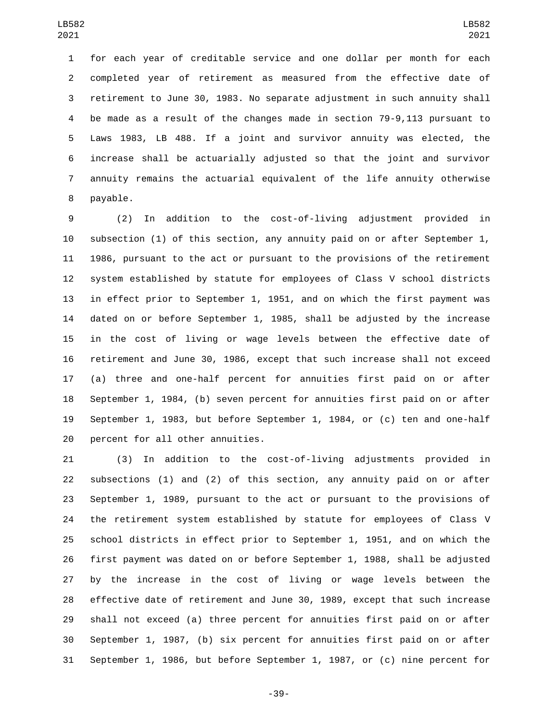for each year of creditable service and one dollar per month for each completed year of retirement as measured from the effective date of retirement to June 30, 1983. No separate adjustment in such annuity shall be made as a result of the changes made in section 79-9,113 pursuant to Laws 1983, LB 488. If a joint and survivor annuity was elected, the increase shall be actuarially adjusted so that the joint and survivor annuity remains the actuarial equivalent of the life annuity otherwise 8 payable.

 (2) In addition to the cost-of-living adjustment provided in subsection (1) of this section, any annuity paid on or after September 1, 1986, pursuant to the act or pursuant to the provisions of the retirement system established by statute for employees of Class V school districts in effect prior to September 1, 1951, and on which the first payment was dated on or before September 1, 1985, shall be adjusted by the increase in the cost of living or wage levels between the effective date of retirement and June 30, 1986, except that such increase shall not exceed (a) three and one-half percent for annuities first paid on or after September 1, 1984, (b) seven percent for annuities first paid on or after September 1, 1983, but before September 1, 1984, or (c) ten and one-half 20 percent for all other annuities.

 (3) In addition to the cost-of-living adjustments provided in subsections (1) and (2) of this section, any annuity paid on or after September 1, 1989, pursuant to the act or pursuant to the provisions of the retirement system established by statute for employees of Class V school districts in effect prior to September 1, 1951, and on which the first payment was dated on or before September 1, 1988, shall be adjusted by the increase in the cost of living or wage levels between the effective date of retirement and June 30, 1989, except that such increase shall not exceed (a) three percent for annuities first paid on or after September 1, 1987, (b) six percent for annuities first paid on or after September 1, 1986, but before September 1, 1987, or (c) nine percent for

-39-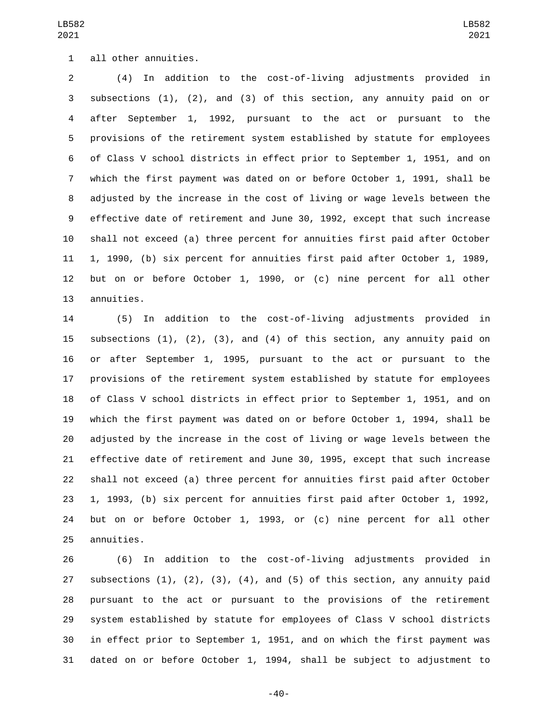## all other annuities.1

 (4) In addition to the cost-of-living adjustments provided in subsections (1), (2), and (3) of this section, any annuity paid on or after September 1, 1992, pursuant to the act or pursuant to the provisions of the retirement system established by statute for employees of Class V school districts in effect prior to September 1, 1951, and on which the first payment was dated on or before October 1, 1991, shall be adjusted by the increase in the cost of living or wage levels between the effective date of retirement and June 30, 1992, except that such increase shall not exceed (a) three percent for annuities first paid after October 1, 1990, (b) six percent for annuities first paid after October 1, 1989, but on or before October 1, 1990, or (c) nine percent for all other 13 annuities.

 (5) In addition to the cost-of-living adjustments provided in subsections (1), (2), (3), and (4) of this section, any annuity paid on or after September 1, 1995, pursuant to the act or pursuant to the provisions of the retirement system established by statute for employees of Class V school districts in effect prior to September 1, 1951, and on which the first payment was dated on or before October 1, 1994, shall be adjusted by the increase in the cost of living or wage levels between the effective date of retirement and June 30, 1995, except that such increase shall not exceed (a) three percent for annuities first paid after October 1, 1993, (b) six percent for annuities first paid after October 1, 1992, but on or before October 1, 1993, or (c) nine percent for all other 25 annuities.

 (6) In addition to the cost-of-living adjustments provided in 27 subsections  $(1)$ ,  $(2)$ ,  $(3)$ ,  $(4)$ , and  $(5)$  of this section, any annuity paid pursuant to the act or pursuant to the provisions of the retirement system established by statute for employees of Class V school districts in effect prior to September 1, 1951, and on which the first payment was dated on or before October 1, 1994, shall be subject to adjustment to

-40-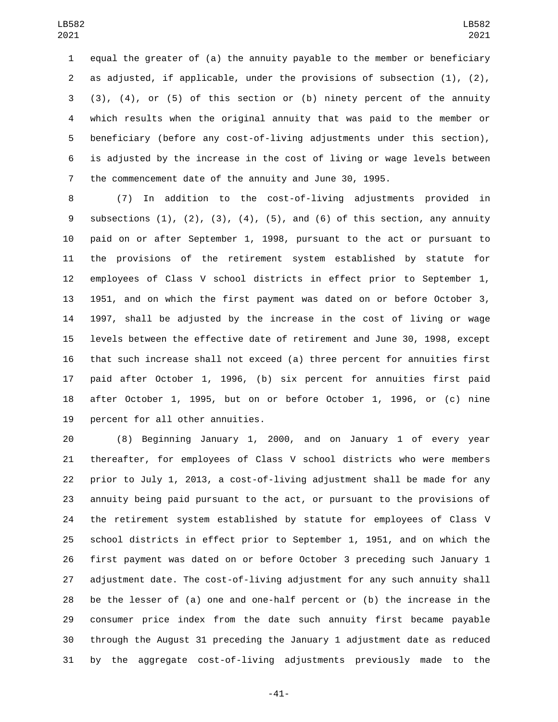equal the greater of (a) the annuity payable to the member or beneficiary as adjusted, if applicable, under the provisions of subsection (1), (2), (3), (4), or (5) of this section or (b) ninety percent of the annuity which results when the original annuity that was paid to the member or beneficiary (before any cost-of-living adjustments under this section), is adjusted by the increase in the cost of living or wage levels between the commencement date of the annuity and June 30, 1995.

 (7) In addition to the cost-of-living adjustments provided in 9 subsections  $(1)$ ,  $(2)$ ,  $(3)$ ,  $(4)$ ,  $(5)$ , and  $(6)$  of this section, any annuity paid on or after September 1, 1998, pursuant to the act or pursuant to the provisions of the retirement system established by statute for employees of Class V school districts in effect prior to September 1, 1951, and on which the first payment was dated on or before October 3, 1997, shall be adjusted by the increase in the cost of living or wage levels between the effective date of retirement and June 30, 1998, except that such increase shall not exceed (a) three percent for annuities first paid after October 1, 1996, (b) six percent for annuities first paid after October 1, 1995, but on or before October 1, 1996, or (c) nine 19 percent for all other annuities.

 (8) Beginning January 1, 2000, and on January 1 of every year thereafter, for employees of Class V school districts who were members prior to July 1, 2013, a cost-of-living adjustment shall be made for any annuity being paid pursuant to the act, or pursuant to the provisions of the retirement system established by statute for employees of Class V school districts in effect prior to September 1, 1951, and on which the first payment was dated on or before October 3 preceding such January 1 adjustment date. The cost-of-living adjustment for any such annuity shall be the lesser of (a) one and one-half percent or (b) the increase in the consumer price index from the date such annuity first became payable through the August 31 preceding the January 1 adjustment date as reduced by the aggregate cost-of-living adjustments previously made to the

-41-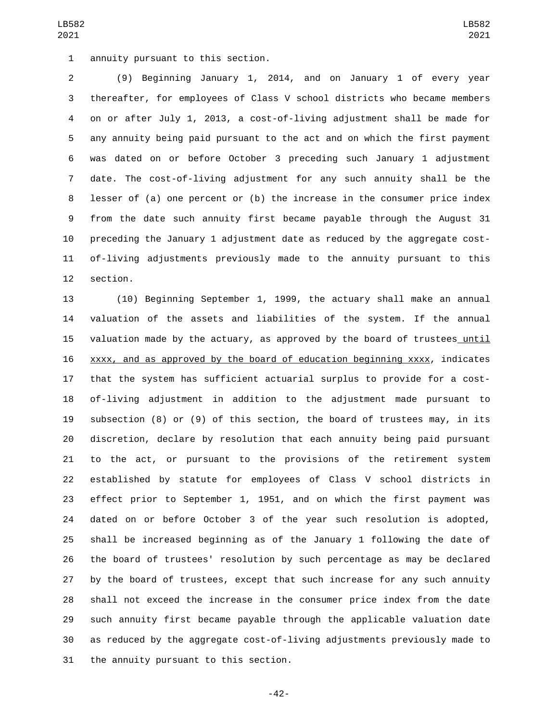(9) Beginning January 1, 2014, and on January 1 of every year thereafter, for employees of Class V school districts who became members on or after July 1, 2013, a cost-of-living adjustment shall be made for any annuity being paid pursuant to the act and on which the first payment was dated on or before October 3 preceding such January 1 adjustment date. The cost-of-living adjustment for any such annuity shall be the lesser of (a) one percent or (b) the increase in the consumer price index from the date such annuity first became payable through the August 31 preceding the January 1 adjustment date as reduced by the aggregate cost- of-living adjustments previously made to the annuity pursuant to this 12 section.

 (10) Beginning September 1, 1999, the actuary shall make an annual valuation of the assets and liabilities of the system. If the annual 15 valuation made by the actuary, as approved by the board of trustees until xxxx, and as approved by the board of education beginning xxxx, indicates that the system has sufficient actuarial surplus to provide for a cost- of-living adjustment in addition to the adjustment made pursuant to subsection (8) or (9) of this section, the board of trustees may, in its discretion, declare by resolution that each annuity being paid pursuant to the act, or pursuant to the provisions of the retirement system established by statute for employees of Class V school districts in effect prior to September 1, 1951, and on which the first payment was dated on or before October 3 of the year such resolution is adopted, shall be increased beginning as of the January 1 following the date of the board of trustees' resolution by such percentage as may be declared by the board of trustees, except that such increase for any such annuity shall not exceed the increase in the consumer price index from the date such annuity first became payable through the applicable valuation date as reduced by the aggregate cost-of-living adjustments previously made to 31 the annuity pursuant to this section.

-42-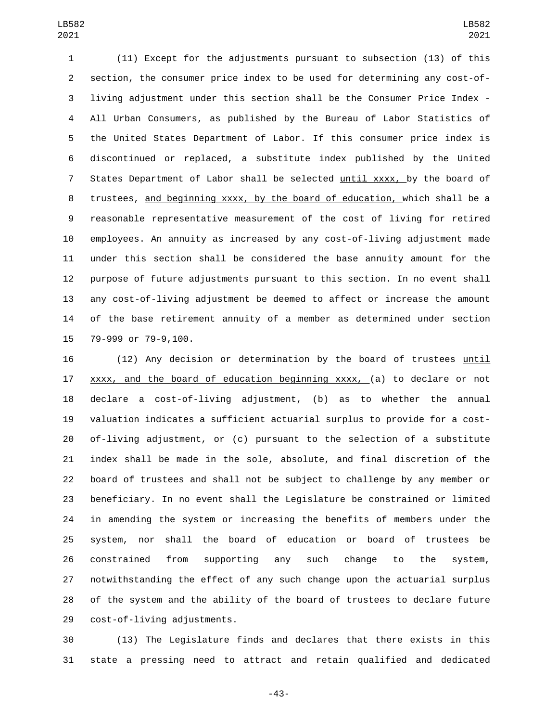(11) Except for the adjustments pursuant to subsection (13) of this section, the consumer price index to be used for determining any cost-of- living adjustment under this section shall be the Consumer Price Index - All Urban Consumers, as published by the Bureau of Labor Statistics of the United States Department of Labor. If this consumer price index is discontinued or replaced, a substitute index published by the United States Department of Labor shall be selected until xxxx, by the board of trustees, and beginning xxxx, by the board of education, which shall be a reasonable representative measurement of the cost of living for retired employees. An annuity as increased by any cost-of-living adjustment made under this section shall be considered the base annuity amount for the purpose of future adjustments pursuant to this section. In no event shall any cost-of-living adjustment be deemed to affect or increase the amount of the base retirement annuity of a member as determined under section 15 79-999 or 79-9,100.

 (12) Any decision or determination by the board of trustees until 17 xxxx, and the board of education beginning xxxx, (a) to declare or not declare a cost-of-living adjustment, (b) as to whether the annual valuation indicates a sufficient actuarial surplus to provide for a cost- of-living adjustment, or (c) pursuant to the selection of a substitute index shall be made in the sole, absolute, and final discretion of the board of trustees and shall not be subject to challenge by any member or beneficiary. In no event shall the Legislature be constrained or limited in amending the system or increasing the benefits of members under the system, nor shall the board of education or board of trustees be constrained from supporting any such change to the system, notwithstanding the effect of any such change upon the actuarial surplus of the system and the ability of the board of trustees to declare future 29 cost-of-living adjustments.

 (13) The Legislature finds and declares that there exists in this state a pressing need to attract and retain qualified and dedicated

-43-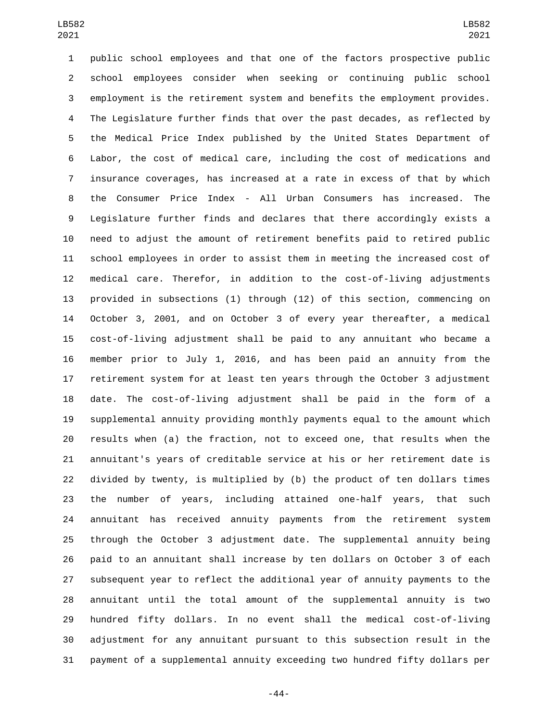public school employees and that one of the factors prospective public school employees consider when seeking or continuing public school employment is the retirement system and benefits the employment provides. The Legislature further finds that over the past decades, as reflected by the Medical Price Index published by the United States Department of Labor, the cost of medical care, including the cost of medications and insurance coverages, has increased at a rate in excess of that by which the Consumer Price Index - All Urban Consumers has increased. The Legislature further finds and declares that there accordingly exists a need to adjust the amount of retirement benefits paid to retired public school employees in order to assist them in meeting the increased cost of medical care. Therefor, in addition to the cost-of-living adjustments provided in subsections (1) through (12) of this section, commencing on October 3, 2001, and on October 3 of every year thereafter, a medical cost-of-living adjustment shall be paid to any annuitant who became a member prior to July 1, 2016, and has been paid an annuity from the retirement system for at least ten years through the October 3 adjustment date. The cost-of-living adjustment shall be paid in the form of a supplemental annuity providing monthly payments equal to the amount which results when (a) the fraction, not to exceed one, that results when the annuitant's years of creditable service at his or her retirement date is divided by twenty, is multiplied by (b) the product of ten dollars times the number of years, including attained one-half years, that such annuitant has received annuity payments from the retirement system through the October 3 adjustment date. The supplemental annuity being paid to an annuitant shall increase by ten dollars on October 3 of each subsequent year to reflect the additional year of annuity payments to the annuitant until the total amount of the supplemental annuity is two hundred fifty dollars. In no event shall the medical cost-of-living adjustment for any annuitant pursuant to this subsection result in the payment of a supplemental annuity exceeding two hundred fifty dollars per

-44-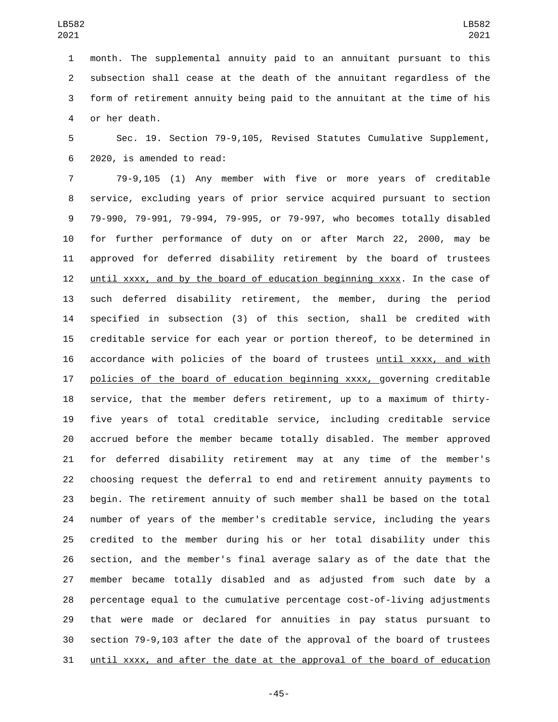month. The supplemental annuity paid to an annuitant pursuant to this subsection shall cease at the death of the annuitant regardless of the form of retirement annuity being paid to the annuitant at the time of his 4 or her death.

 Sec. 19. Section 79-9,105, Revised Statutes Cumulative Supplement, 2020, is amended to read:6

 79-9,105 (1) Any member with five or more years of creditable service, excluding years of prior service acquired pursuant to section 79-990, 79-991, 79-994, 79-995, or 79-997, who becomes totally disabled for further performance of duty on or after March 22, 2000, may be approved for deferred disability retirement by the board of trustees until xxxx, and by the board of education beginning xxxx. In the case of such deferred disability retirement, the member, during the period specified in subsection (3) of this section, shall be credited with creditable service for each year or portion thereof, to be determined in accordance with policies of the board of trustees until xxxx, and with 17 policies of the board of education beginning xxxx, governing creditable service, that the member defers retirement, up to a maximum of thirty- five years of total creditable service, including creditable service accrued before the member became totally disabled. The member approved for deferred disability retirement may at any time of the member's choosing request the deferral to end and retirement annuity payments to begin. The retirement annuity of such member shall be based on the total number of years of the member's creditable service, including the years credited to the member during his or her total disability under this section, and the member's final average salary as of the date that the member became totally disabled and as adjusted from such date by a percentage equal to the cumulative percentage cost-of-living adjustments that were made or declared for annuities in pay status pursuant to section 79-9,103 after the date of the approval of the board of trustees until xxxx, and after the date at the approval of the board of education

-45-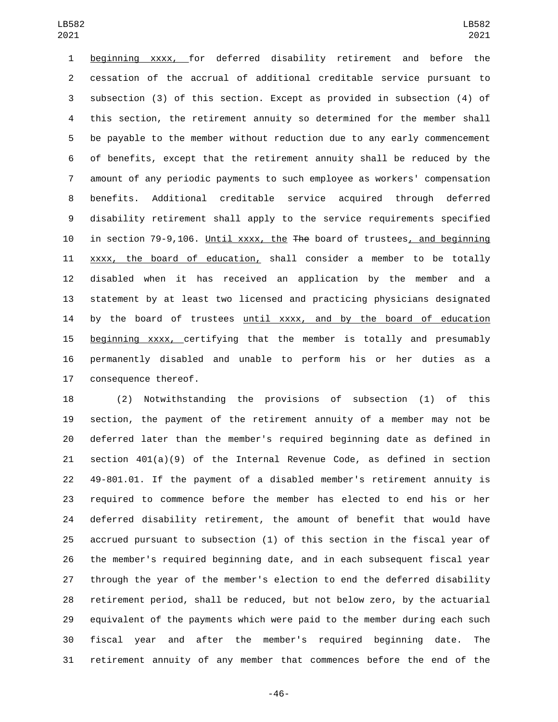beginning xxxx, for deferred disability retirement and before the cessation of the accrual of additional creditable service pursuant to subsection (3) of this section. Except as provided in subsection (4) of this section, the retirement annuity so determined for the member shall be payable to the member without reduction due to any early commencement of benefits, except that the retirement annuity shall be reduced by the amount of any periodic payments to such employee as workers' compensation benefits. Additional creditable service acquired through deferred disability retirement shall apply to the service requirements specified in section 79-9,106. Until xxxx, the The board of trustees, and beginning xxxx, the board of education, shall consider a member to be totally disabled when it has received an application by the member and a statement by at least two licensed and practicing physicians designated 14 by the board of trustees until xxxx, and by the board of education beginning xxxx, certifying that the member is totally and presumably permanently disabled and unable to perform his or her duties as a 17 consequence thereof.

 (2) Notwithstanding the provisions of subsection (1) of this section, the payment of the retirement annuity of a member may not be deferred later than the member's required beginning date as defined in section 401(a)(9) of the Internal Revenue Code, as defined in section 49-801.01. If the payment of a disabled member's retirement annuity is required to commence before the member has elected to end his or her deferred disability retirement, the amount of benefit that would have accrued pursuant to subsection (1) of this section in the fiscal year of the member's required beginning date, and in each subsequent fiscal year through the year of the member's election to end the deferred disability retirement period, shall be reduced, but not below zero, by the actuarial equivalent of the payments which were paid to the member during each such fiscal year and after the member's required beginning date. The retirement annuity of any member that commences before the end of the

-46-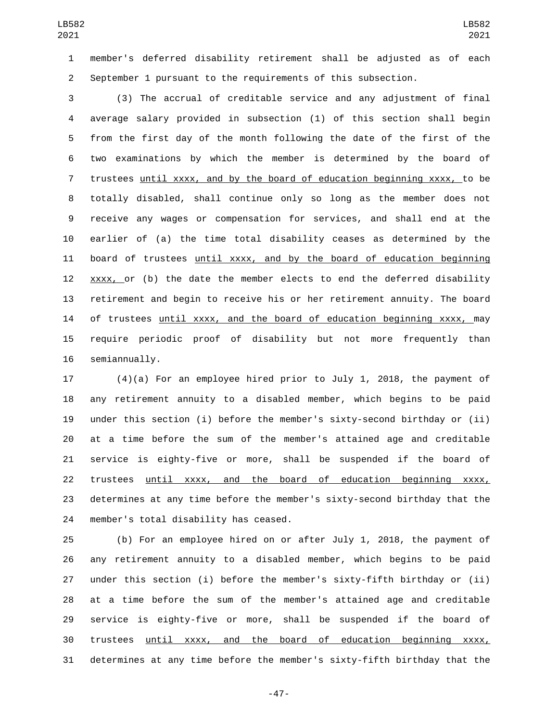member's deferred disability retirement shall be adjusted as of each September 1 pursuant to the requirements of this subsection.

 (3) The accrual of creditable service and any adjustment of final average salary provided in subsection (1) of this section shall begin from the first day of the month following the date of the first of the two examinations by which the member is determined by the board of trustees until xxxx, and by the board of education beginning xxxx, to be totally disabled, shall continue only so long as the member does not receive any wages or compensation for services, and shall end at the earlier of (a) the time total disability ceases as determined by the board of trustees until xxxx, and by the board of education beginning xxxx, or (b) the date the member elects to end the deferred disability retirement and begin to receive his or her retirement annuity. The board of trustees until xxxx, and the board of education beginning xxxx, may require periodic proof of disability but not more frequently than 16 semiannually.

 (4)(a) For an employee hired prior to July 1, 2018, the payment of any retirement annuity to a disabled member, which begins to be paid under this section (i) before the member's sixty-second birthday or (ii) at a time before the sum of the member's attained age and creditable service is eighty-five or more, shall be suspended if the board of trustees until xxxx, and the board of education beginning xxxx, determines at any time before the member's sixty-second birthday that the 24 member's total disability has ceased.

 (b) For an employee hired on or after July 1, 2018, the payment of any retirement annuity to a disabled member, which begins to be paid under this section (i) before the member's sixty-fifth birthday or (ii) at a time before the sum of the member's attained age and creditable service is eighty-five or more, shall be suspended if the board of trustees until xxxx, and the board of education beginning xxxx, determines at any time before the member's sixty-fifth birthday that the

-47-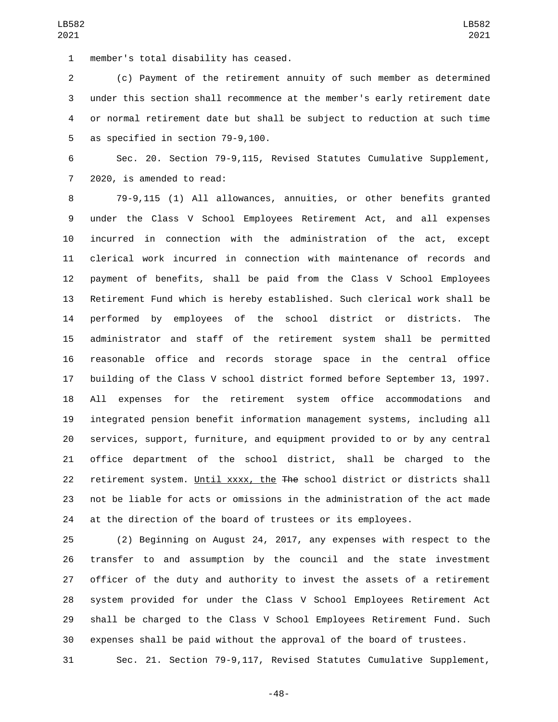member's total disability has ceased.1

 (c) Payment of the retirement annuity of such member as determined under this section shall recommence at the member's early retirement date or normal retirement date but shall be subject to reduction at such time 5 as specified in section 79-9,100.

 Sec. 20. Section 79-9,115, Revised Statutes Cumulative Supplement, 7 2020, is amended to read:

 79-9,115 (1) All allowances, annuities, or other benefits granted under the Class V School Employees Retirement Act, and all expenses incurred in connection with the administration of the act, except clerical work incurred in connection with maintenance of records and payment of benefits, shall be paid from the Class V School Employees Retirement Fund which is hereby established. Such clerical work shall be performed by employees of the school district or districts. The administrator and staff of the retirement system shall be permitted reasonable office and records storage space in the central office building of the Class V school district formed before September 13, 1997. All expenses for the retirement system office accommodations and integrated pension benefit information management systems, including all services, support, furniture, and equipment provided to or by any central office department of the school district, shall be charged to the 22 retirement system. Until xxxx, the The school district or districts shall not be liable for acts or omissions in the administration of the act made at the direction of the board of trustees or its employees.

 (2) Beginning on August 24, 2017, any expenses with respect to the transfer to and assumption by the council and the state investment officer of the duty and authority to invest the assets of a retirement system provided for under the Class V School Employees Retirement Act shall be charged to the Class V School Employees Retirement Fund. Such expenses shall be paid without the approval of the board of trustees.

Sec. 21. Section 79-9,117, Revised Statutes Cumulative Supplement,

LB582

-48-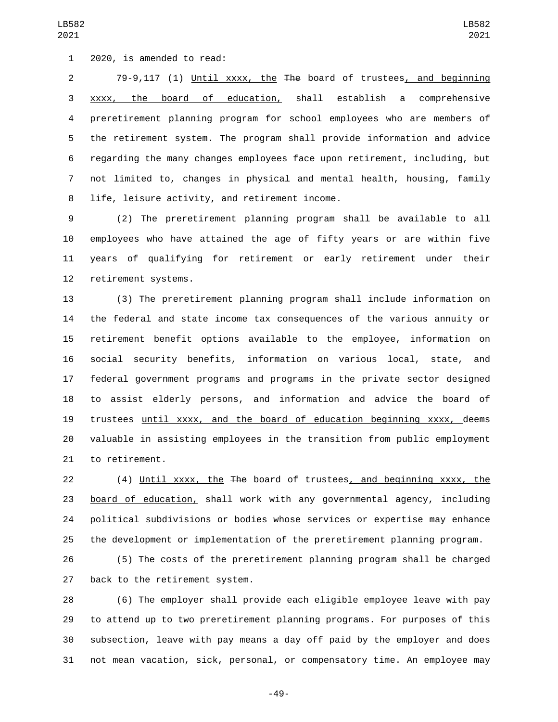1 2020, is amended to read:

 79-9,117 (1) Until xxxx, the The board of trustees, and beginning xxxx, the board of education, shall establish a comprehensive preretirement planning program for school employees who are members of the retirement system. The program shall provide information and advice regarding the many changes employees face upon retirement, including, but not limited to, changes in physical and mental health, housing, family 8 life, leisure activity, and retirement income.

 (2) The preretirement planning program shall be available to all employees who have attained the age of fifty years or are within five years of qualifying for retirement or early retirement under their 12 retirement systems.

 (3) The preretirement planning program shall include information on the federal and state income tax consequences of the various annuity or retirement benefit options available to the employee, information on social security benefits, information on various local, state, and federal government programs and programs in the private sector designed to assist elderly persons, and information and advice the board of trustees until xxxx, and the board of education beginning xxxx, deems valuable in assisting employees in the transition from public employment 21 to retirement.

 (4) Until xxxx, the The board of trustees, and beginning xxxx, the board of education, shall work with any governmental agency, including political subdivisions or bodies whose services or expertise may enhance the development or implementation of the preretirement planning program.

 (5) The costs of the preretirement planning program shall be charged 27 back to the retirement system.

 (6) The employer shall provide each eligible employee leave with pay to attend up to two preretirement planning programs. For purposes of this subsection, leave with pay means a day off paid by the employer and does not mean vacation, sick, personal, or compensatory time. An employee may

-49-